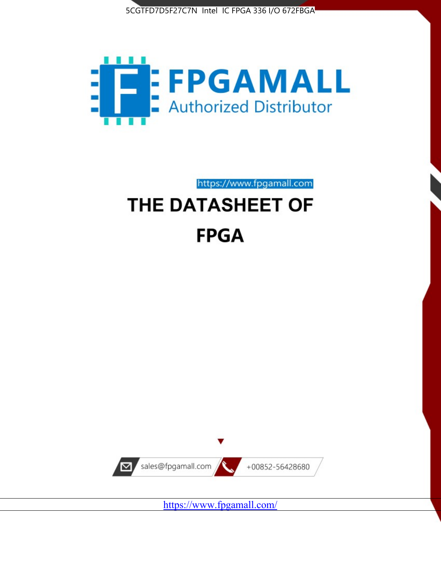



https://www.fpgamall.com THE DATASHEET OF

# **FPGA**



<https://www.fpgamall.com/>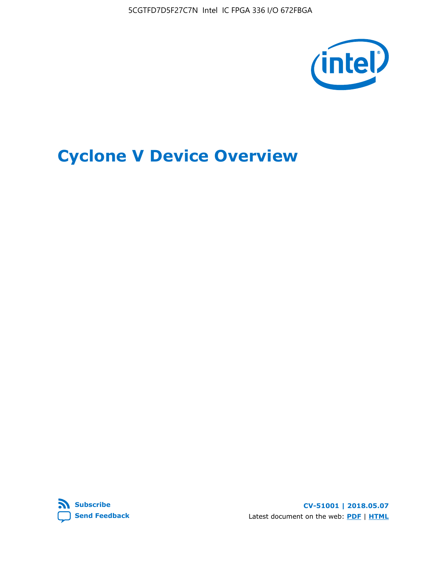5CGTFD7D5F27C7N Intel IC FPGA 336 I/O 672FBGA



# **Cyclone V Device Overview**



**CV-51001 | 2018.05.07** Latest document on the web: **[PDF](https://www.altera.com/en_US/pdfs/literature/hb/cyclone-v/cv_51001.pdf)** | **[HTML](https://www.altera.com/documentation/sam1403480548153.html)**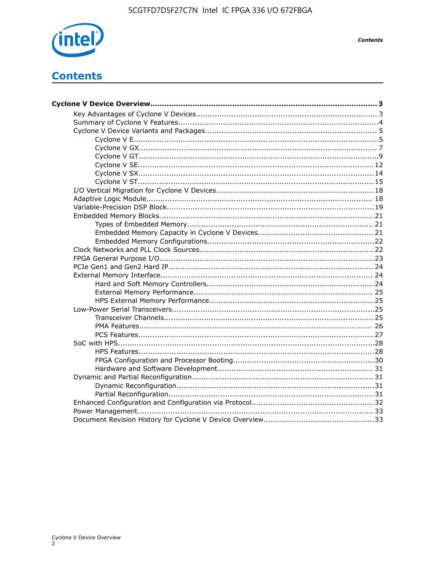

**Contents** 

# **Contents**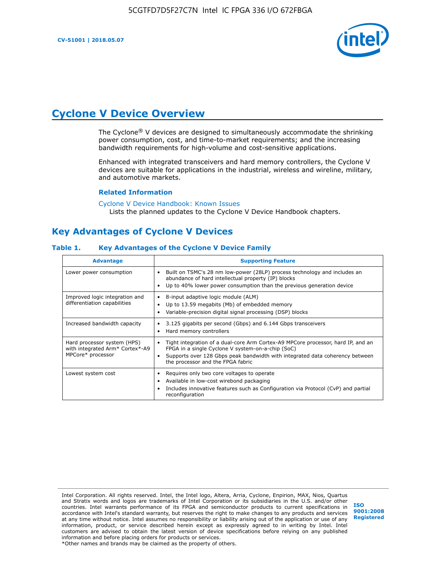

# **Cyclone V Device Overview**

The Cyclone® V devices are designed to simultaneously accommodate the shrinking power consumption, cost, and time-to-market requirements; and the increasing bandwidth requirements for high-volume and cost-sensitive applications.

Enhanced with integrated transceivers and hard memory controllers, the Cyclone V devices are suitable for applications in the industrial, wireless and wireline, military, and automotive markets.

#### **Related Information**

[Cyclone V Device Handbook: Known Issues](https://www.altera.com/support/support-resources/knowledge-base/solutions/rd12152011_347.html) Lists the planned updates to the Cyclone V Device Handbook chapters.

## **Key Advantages of Cyclone V Devices**

#### **Table 1. Key Advantages of the Cyclone V Device Family**

| <b>Advantage</b>                                                                    | <b>Supporting Feature</b>                                                                                                                                                                                                                                                    |
|-------------------------------------------------------------------------------------|------------------------------------------------------------------------------------------------------------------------------------------------------------------------------------------------------------------------------------------------------------------------------|
| Lower power consumption                                                             | Built on TSMC's 28 nm low-power (28LP) process technology and includes an<br>$\bullet$<br>abundance of hard intellectual property (IP) blocks<br>Up to 40% lower power consumption than the previous generation device                                                       |
| Improved logic integration and<br>differentiation capabilities                      | 8-input adaptive logic module (ALM)<br>٠<br>Up to 13.59 megabits (Mb) of embedded memory<br>٠<br>Variable-precision digital signal processing (DSP) blocks                                                                                                                   |
| Increased bandwidth capacity                                                        | 3.125 gigabits per second (Gbps) and 6.144 Gbps transceivers<br>٠<br>Hard memory controllers<br>٠                                                                                                                                                                            |
| Hard processor system (HPS)<br>with integrated Arm* Cortex*-A9<br>MPCore* processor | Tight integration of a dual-core Arm Cortex-A9 MPCore processor, hard IP, and an<br>$\bullet$<br>FPGA in a single Cyclone V system-on-a-chip (SoC)<br>Supports over 128 Gbps peak bandwidth with integrated data coherency between<br>٠<br>the processor and the FPGA fabric |
| Lowest system cost                                                                  | Requires only two core voltages to operate<br>٠<br>Available in low-cost wirebond packaging<br>٠<br>Includes innovative features such as Configuration via Protocol (CvP) and partial<br>٠<br>reconfiguration                                                                |

Intel Corporation. All rights reserved. Intel, the Intel logo, Altera, Arria, Cyclone, Enpirion, MAX, Nios, Quartus and Stratix words and logos are trademarks of Intel Corporation or its subsidiaries in the U.S. and/or other countries. Intel warrants performance of its FPGA and semiconductor products to current specifications in accordance with Intel's standard warranty, but reserves the right to make changes to any products and services at any time without notice. Intel assumes no responsibility or liability arising out of the application or use of any information, product, or service described herein except as expressly agreed to in writing by Intel. Intel customers are advised to obtain the latest version of device specifications before relying on any published information and before placing orders for products or services. \*Other names and brands may be claimed as the property of others.

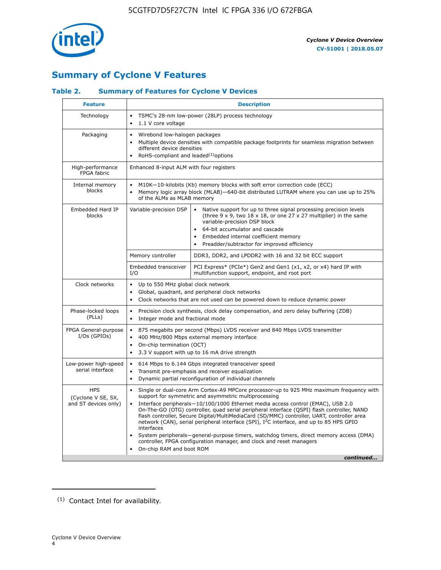

# **Summary of Cyclone V Features**

## **Table 2. Summary of Features for Cyclone V Devices**

| <b>Feature</b>                                           | <b>Description</b>                                                                                                                                                                                                                                                                                                                        |                                                                                                                                                                                                                                                                                                                                                                                                                                                                                                                                                                                                                                                                                                         |  |  |  |  |  |  |
|----------------------------------------------------------|-------------------------------------------------------------------------------------------------------------------------------------------------------------------------------------------------------------------------------------------------------------------------------------------------------------------------------------------|---------------------------------------------------------------------------------------------------------------------------------------------------------------------------------------------------------------------------------------------------------------------------------------------------------------------------------------------------------------------------------------------------------------------------------------------------------------------------------------------------------------------------------------------------------------------------------------------------------------------------------------------------------------------------------------------------------|--|--|--|--|--|--|
| Technology                                               | $\bullet$<br>1.1 V core voltage<br>$\bullet$                                                                                                                                                                                                                                                                                              | TSMC's 28-nm low-power (28LP) process technology                                                                                                                                                                                                                                                                                                                                                                                                                                                                                                                                                                                                                                                        |  |  |  |  |  |  |
| Packaging                                                | $\bullet$                                                                                                                                                                                                                                                                                                                                 | Wirebond low-halogen packages<br>Multiple device densities with compatible package footprints for seamless migration between<br>different device densities<br>RoHS-compliant and leaded $(1)$ options                                                                                                                                                                                                                                                                                                                                                                                                                                                                                                   |  |  |  |  |  |  |
| High-performance<br>FPGA fabric                          | Enhanced 8-input ALM with four registers                                                                                                                                                                                                                                                                                                  |                                                                                                                                                                                                                                                                                                                                                                                                                                                                                                                                                                                                                                                                                                         |  |  |  |  |  |  |
| Internal memory<br>blocks                                | of the ALMs as MLAB memory                                                                                                                                                                                                                                                                                                                | M10K-10-kilobits (Kb) memory blocks with soft error correction code (ECC)<br>Memory logic array block (MLAB)-640-bit distributed LUTRAM where you can use up to 25%                                                                                                                                                                                                                                                                                                                                                                                                                                                                                                                                     |  |  |  |  |  |  |
| Embedded Hard IP<br>blocks                               | Variable-precision DSP<br>Native support for up to three signal processing precision levels<br>(three $9 \times 9$ , two $18 \times 18$ , or one 27 x 27 multiplier) in the same<br>variable-precision DSP block<br>64-bit accumulator and cascade<br>Embedded internal coefficient memory<br>Preadder/subtractor for improved efficiency |                                                                                                                                                                                                                                                                                                                                                                                                                                                                                                                                                                                                                                                                                                         |  |  |  |  |  |  |
|                                                          | Memory controller                                                                                                                                                                                                                                                                                                                         | DDR3, DDR2, and LPDDR2 with 16 and 32 bit ECC support                                                                                                                                                                                                                                                                                                                                                                                                                                                                                                                                                                                                                                                   |  |  |  |  |  |  |
|                                                          | Embedded transceiver<br>I/O                                                                                                                                                                                                                                                                                                               | PCI Express* (PCIe*) Gen2 and Gen1 (x1, x2, or x4) hard IP with<br>multifunction support, endpoint, and root port                                                                                                                                                                                                                                                                                                                                                                                                                                                                                                                                                                                       |  |  |  |  |  |  |
| Clock networks                                           | Up to 550 MHz global clock network<br>$\bullet$<br>$\bullet$                                                                                                                                                                                                                                                                              | Global, quadrant, and peripheral clock networks<br>Clock networks that are not used can be powered down to reduce dynamic power                                                                                                                                                                                                                                                                                                                                                                                                                                                                                                                                                                         |  |  |  |  |  |  |
| Phase-locked loops<br>(PLLs)                             | $\bullet$<br>Integer mode and fractional mode<br>$\bullet$                                                                                                                                                                                                                                                                                | Precision clock synthesis, clock delay compensation, and zero delay buffering (ZDB)                                                                                                                                                                                                                                                                                                                                                                                                                                                                                                                                                                                                                     |  |  |  |  |  |  |
| FPGA General-purpose<br>$I/Os$ (GPIOs)                   | $\bullet$<br>$\bullet$<br>$\bullet$                                                                                                                                                                                                                                                                                                       | 875 megabits per second (Mbps) LVDS receiver and 840 Mbps LVDS transmitter<br>400 MHz/800 Mbps external memory interface<br>On-chip termination (OCT)<br>3.3 V support with up to 16 mA drive strength                                                                                                                                                                                                                                                                                                                                                                                                                                                                                                  |  |  |  |  |  |  |
| Low-power high-speed<br>serial interface                 | 614 Mbps to 6.144 Gbps integrated transceiver speed<br>$\bullet$<br>Transmit pre-emphasis and receiver equalization<br>$\bullet$<br>Dynamic partial reconfiguration of individual channels<br>$\bullet$                                                                                                                                   |                                                                                                                                                                                                                                                                                                                                                                                                                                                                                                                                                                                                                                                                                                         |  |  |  |  |  |  |
| <b>HPS</b><br>(Cyclone V SE, SX,<br>and ST devices only) | $\bullet$<br>$\bullet$<br>interfaces<br>On-chip RAM and boot ROM                                                                                                                                                                                                                                                                          | Single or dual-core Arm Cortex-A9 MPCore processor-up to 925 MHz maximum frequency with<br>support for symmetric and asymmetric multiprocessing<br>Interface peripherals-10/100/1000 Ethernet media access control (EMAC), USB 2.0<br>On-The-GO (OTG) controller, quad serial peripheral interface (QSPI) flash controller, NAND<br>flash controller, Secure Digital/MultiMediaCard (SD/MMC) controller, UART, controller area<br>network (CAN), serial peripheral interface (SPI), I <sup>2</sup> C interface, and up to 85 HPS GPIO<br>System peripherals—general-purpose timers, watchdog timers, direct memory access (DMA)<br>controller, FPGA configuration manager, and clock and reset managers |  |  |  |  |  |  |
|                                                          |                                                                                                                                                                                                                                                                                                                                           | continued                                                                                                                                                                                                                                                                                                                                                                                                                                                                                                                                                                                                                                                                                               |  |  |  |  |  |  |

(1) Contact Intel for availability.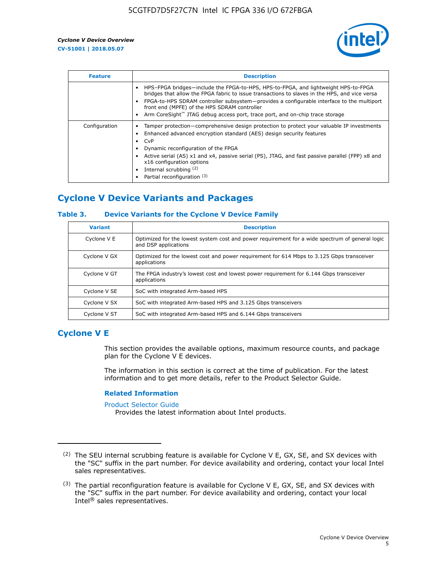

| <b>Feature</b> | <b>Description</b>                                                                                                                                                                                                                                                                                                                                                                                                           |
|----------------|------------------------------------------------------------------------------------------------------------------------------------------------------------------------------------------------------------------------------------------------------------------------------------------------------------------------------------------------------------------------------------------------------------------------------|
|                | HPS-FPGA bridges—include the FPGA-to-HPS, HPS-to-FPGA, and lightweight HPS-to-FPGA<br>bridges that allow the FPGA fabric to issue transactions to slaves in the HPS, and vice versa<br>FPGA-to-HPS SDRAM controller subsystem—provides a configurable interface to the multiport<br>front end (MPFE) of the HPS SDRAM controller<br>Arm CoreSight <sup>™</sup> JTAG debug access port, trace port, and on-chip trace storage |
| Configuration  | Tamper protection—comprehensive design protection to protect your valuable IP investments<br>Enhanced advanced encryption standard (AES) design security features<br>CvP<br>Dynamic reconfiguration of the FPGA<br>Active serial (AS) x1 and x4, passive serial (PS), JTAG, and fast passive parallel (FPP) x8 and<br>x16 configuration options<br>Internal scrubbing (2)<br>Partial reconfiguration (3)                     |

# **Cyclone V Device Variants and Packages**

#### **Table 3. Device Variants for the Cyclone V Device Family**

| <b>Variant</b> | <b>Description</b>                                                                                                      |
|----------------|-------------------------------------------------------------------------------------------------------------------------|
| Cyclone V E    | Optimized for the lowest system cost and power requirement for a wide spectrum of general logic<br>and DSP applications |
| Cyclone V GX   | Optimized for the lowest cost and power requirement for 614 Mbps to 3.125 Gbps transceiver<br>applications              |
| Cyclone V GT   | The FPGA industry's lowest cost and lowest power requirement for 6.144 Gbps transceiver<br>applications                 |
| Cyclone V SE   | SoC with integrated Arm-based HPS                                                                                       |
| Cyclone V SX   | SoC with integrated Arm-based HPS and 3.125 Gbps transceivers                                                           |
| Cyclone V ST   | SoC with integrated Arm-based HPS and 6.144 Gbps transceivers                                                           |

## **Cyclone V E**

This section provides the available options, maximum resource counts, and package plan for the Cyclone V E devices.

The information in this section is correct at the time of publication. For the latest information and to get more details, refer to the Product Selector Guide.

#### **Related Information**

[Product Selector Guide](https://www.altera.com/products/product-selector-guide.html)

Provides the latest information about Intel products.

<sup>(2)</sup> The SEU internal scrubbing feature is available for Cyclone V E, GX, SE, and SX devices with the "SC" suffix in the part number. For device availability and ordering, contact your local Intel sales representatives.

 $(3)$  The partial reconfiguration feature is available for Cyclone V E, GX, SE, and SX devices with the "SC" suffix in the part number. For device availability and ordering, contact your local Intel® sales representatives.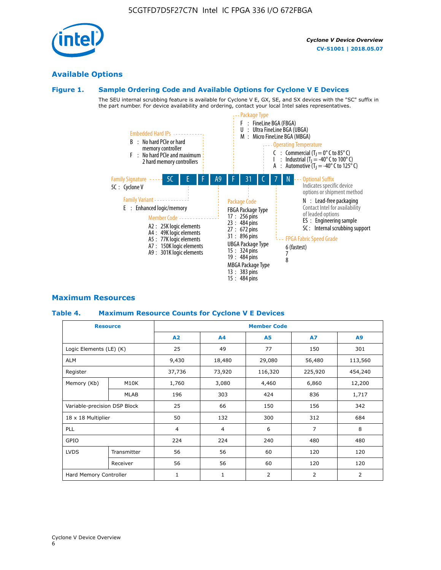# **Available Options**

#### **Figure 1. Sample Ordering Code and Available Options for Cyclone V E Devices**

The SEU internal scrubbing feature is available for Cyclone V E, GX, SE, and SX devices with the "SC" suffix in the part number. For device availability and ordering, contact your local Intel sales representatives.



### **Maximum Resources**

#### **Table 4. Maximum Resource Counts for Cyclone V E Devices**

|                              | <b>Resource</b> |                | <b>Member Code</b> |                |                |                |  |  |  |
|------------------------------|-----------------|----------------|--------------------|----------------|----------------|----------------|--|--|--|
|                              |                 | A2             | A <sub>4</sub>     | <b>A5</b>      | <b>A7</b>      | A <sub>9</sub> |  |  |  |
| Logic Elements (LE) (K)      |                 | 25             | 49                 | 77             | 150            | 301            |  |  |  |
| <b>ALM</b>                   |                 | 9,430          | 18,480             | 29,080         | 56,480         | 113,560        |  |  |  |
| Register                     |                 | 37,736         | 73,920             | 116,320        | 225,920        | 454,240        |  |  |  |
| Memory (Kb)                  | M10K            | 1,760          | 3,080              | 4,460          | 6,860          | 12,200         |  |  |  |
|                              | <b>MLAB</b>     | 196            | 303                | 424            | 836            | 1,717          |  |  |  |
| Variable-precision DSP Block |                 | 25             | 66                 | 150            | 156            | 342            |  |  |  |
| 18 x 18 Multiplier           |                 | 50             | 132                | 300            | 312            | 684            |  |  |  |
| PLL                          |                 | $\overline{4}$ | 4                  | 6              | $\overline{7}$ | 8              |  |  |  |
| GPIO                         |                 |                | 224                | 240            | 480            | 480            |  |  |  |
| <b>LVDS</b>                  | Transmitter     | 56             | 56                 | 60             | 120            | 120            |  |  |  |
|                              | Receiver        | 56             | 56                 | 60             | 120            | 120            |  |  |  |
| Hard Memory Controller       |                 | $\mathbf{1}$   | $\mathbf{1}$       | $\overline{2}$ | 2              | 2              |  |  |  |

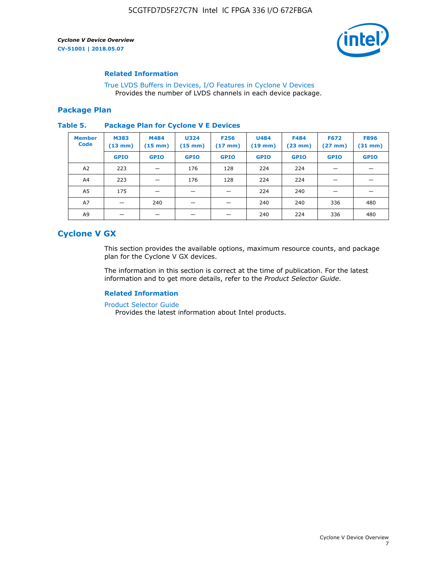

#### **Related Information**

[True LVDS Buffers in Devices, I/O Features in Cyclone V Devices](https://www.altera.com/documentation/sam1403481100977.html#sam1403480885395) Provides the number of LVDS channels in each device package.

#### **Package Plan**

#### **Table 5. Package Plan for Cyclone V E Devices**

| <b>Member</b><br><b>Code</b> | <b>M383</b><br>$(13 \text{ mm})$ | M484<br>$(15 \text{ mm})$ | <b>U324</b><br>$(15 \text{ mm})$ | <b>F256</b><br>$(17 \text{ mm})$ | <b>U484</b><br>$(19$ mm) | <b>F484</b><br>$(23$ mm $)$ | <b>F672</b><br>$(27 \text{ mm})$ | <b>F896</b><br>$(31$ mm $)$ |
|------------------------------|----------------------------------|---------------------------|----------------------------------|----------------------------------|--------------------------|-----------------------------|----------------------------------|-----------------------------|
|                              | <b>GPIO</b>                      | <b>GPIO</b>               | <b>GPIO</b>                      | <b>GPIO</b>                      | <b>GPIO</b>              | <b>GPIO</b>                 | <b>GPIO</b>                      | <b>GPIO</b>                 |
| A <sub>2</sub>               | 223                              |                           | 176                              | 128                              | 224                      | 224                         |                                  |                             |
| A4                           | 223                              |                           | 176                              | 128                              | 224                      | 224                         | –                                |                             |
| A <sub>5</sub>               | 175                              |                           |                                  |                                  | 224                      | 240                         |                                  |                             |
| A7                           |                                  | 240                       |                                  |                                  | 240                      | 240                         | 336                              | 480                         |
| A9                           |                                  |                           |                                  |                                  | 240                      | 224                         | 336                              | 480                         |

## **Cyclone V GX**

This section provides the available options, maximum resource counts, and package plan for the Cyclone V GX devices.

The information in this section is correct at the time of publication. For the latest information and to get more details, refer to the *Product Selector Guide*.

#### **Related Information**

[Product Selector Guide](https://www.altera.com/products/product-selector-guide.html)

Provides the latest information about Intel products.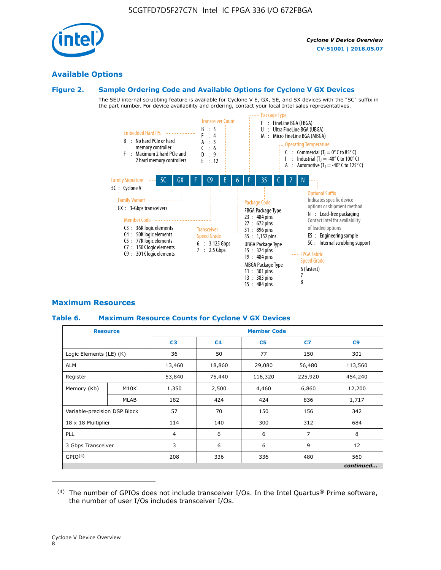

## **Available Options**

#### **Figure 2. Sample Ordering Code and Available Options for Cyclone V GX Devices**

The SEU internal scrubbing feature is available for Cyclone V E, GX, SE, and SX devices with the "SC" suffix in the part number. For device availability and ordering, contact your local Intel sales representatives.



### **Maximum Resources**

#### **Table 6. Maximum Resource Counts for Cyclone V GX Devices**

|                              | <b>Resource</b> | <b>Member Code</b> |                |                |                |           |  |  |
|------------------------------|-----------------|--------------------|----------------|----------------|----------------|-----------|--|--|
|                              |                 | C <sub>3</sub>     | C <sub>4</sub> | C <sub>5</sub> | C7             | C9        |  |  |
| Logic Elements (LE) (K)      |                 | 36                 | 50             | 77             | 150            | 301       |  |  |
| <b>ALM</b>                   |                 | 13,460             | 18,860         | 29,080         | 56,480         | 113,560   |  |  |
| Register                     |                 |                    | 75,440         | 116,320        | 225,920        | 454,240   |  |  |
| Memory (Kb)                  | M10K            | 1,350              | 2,500          | 4,460          | 6,860          | 12,200    |  |  |
|                              | <b>MLAB</b>     | 182                | 424            | 424            | 836            | 1,717     |  |  |
| Variable-precision DSP Block |                 | 57                 | 70             | 150            | 156            | 342       |  |  |
| 18 x 18 Multiplier           |                 | 114                | 140            | 300            | 312            | 684       |  |  |
| PLL                          |                 | $\overline{4}$     | 6              | 6              | $\overline{7}$ | 8         |  |  |
| 3 Gbps Transceiver           |                 | 3                  | 6              | 6              | 9              | 12        |  |  |
| GPIO <sup>(4)</sup>          |                 | 208                | 336            | 336            | 480            | 560       |  |  |
|                              |                 |                    |                |                |                | continued |  |  |

 $(4)$  The number of GPIOs does not include transceiver I/Os. In the Intel Quartus® Prime software, the number of user I/Os includes transceiver I/Os.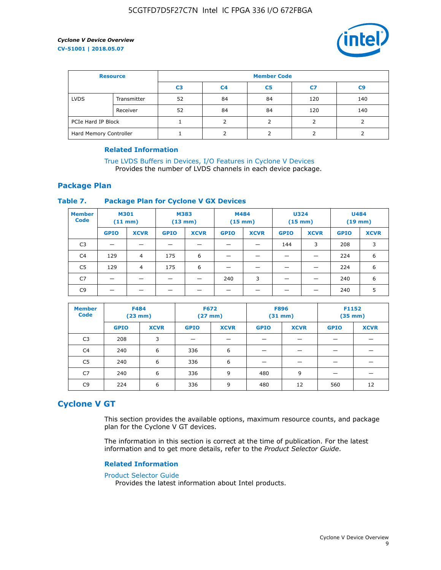

| <b>Resource</b>        |             | <b>Member Code</b> |                |                |     |     |  |  |
|------------------------|-------------|--------------------|----------------|----------------|-----|-----|--|--|
|                        |             | C3                 | C <sub>4</sub> | C <sub>5</sub> | C7  | C9  |  |  |
| <b>LVDS</b>            | Transmitter | 52                 | 84             | 84             | 120 | 140 |  |  |
|                        | Receiver    | 52                 | 84             | 84             | 120 | 140 |  |  |
| PCIe Hard IP Block     |             |                    |                |                |     |     |  |  |
| Hard Memory Controller |             |                    |                |                |     |     |  |  |

#### **Related Information**

[True LVDS Buffers in Devices, I/O Features in Cyclone V Devices](https://www.altera.com/documentation/sam1403481100977.html#sam1403480885395) Provides the number of LVDS channels in each device package.

### **Package Plan**

#### **Table 7. Package Plan for Cyclone V GX Devices**

| <b>Member</b><br><b>Code</b> | <b>M301</b><br>$(11$ mm) |                | <b>M383</b><br>$(13 \text{ mm})$ |             | M484        | $(15 \text{ mm})$ | <b>U324</b><br>$(15 \text{ mm})$ |             | <b>U484</b><br>$(19$ mm) |             |
|------------------------------|--------------------------|----------------|----------------------------------|-------------|-------------|-------------------|----------------------------------|-------------|--------------------------|-------------|
|                              | <b>GPIO</b>              | <b>XCVR</b>    | <b>GPIO</b>                      | <b>XCVR</b> | <b>GPIO</b> | <b>XCVR</b>       | <b>GPIO</b>                      | <b>XCVR</b> | <b>GPIO</b>              | <b>XCVR</b> |
| C <sub>3</sub>               |                          |                |                                  |             |             |                   | 144                              | 3           | 208                      | 3           |
| C <sub>4</sub>               | 129                      | $\overline{4}$ | 175                              | 6           |             |                   | –                                |             | 224                      | 6           |
| C5                           | 129                      | 4              | 175                              | 6           |             |                   |                                  |             | 224                      | 6           |
| C7                           | _                        |                |                                  |             | 240         | 3                 |                                  |             | 240                      | 6           |
| C9                           |                          |                |                                  |             |             |                   |                                  |             | 240                      | 5           |

| <b>Member</b><br><b>Code</b> | <b>F484</b> | (23 mm)     | <b>F672</b><br>$(27 \text{ mm})$ |             | <b>F896</b><br>$(31$ mm $)$ |             | F1152<br>$(35 \text{ mm})$ |             |
|------------------------------|-------------|-------------|----------------------------------|-------------|-----------------------------|-------------|----------------------------|-------------|
|                              | <b>GPIO</b> | <b>XCVR</b> | <b>GPIO</b>                      | <b>XCVR</b> | <b>GPIO</b>                 | <b>XCVR</b> | <b>GPIO</b>                | <b>XCVR</b> |
| C <sub>3</sub>               | 208         | 3           |                                  |             |                             |             |                            |             |
| C4                           | 240         | 6           | 336                              | 6           |                             |             |                            |             |
| C5                           | 240         | 6           | 336                              | 6           |                             |             |                            |             |
| C7                           | 240         | 6           | 336                              | 9           | 480                         | 9           |                            |             |
| C9                           | 224         | 6           | 336                              | 9           | 480                         | 12          | 560                        | 12          |

## **Cyclone V GT**

This section provides the available options, maximum resource counts, and package plan for the Cyclone V GT devices.

The information in this section is correct at the time of publication. For the latest information and to get more details, refer to the *Product Selector Guide*.

#### **Related Information**

#### [Product Selector Guide](https://www.altera.com/products/product-selector-guide.html)

Provides the latest information about Intel products.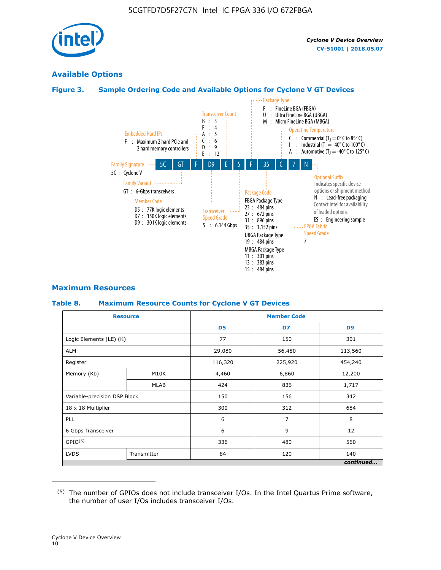

## **Available Options**

#### **Figure 3. Sample Ordering Code and Available Options for Cyclone V GT Devices**



#### **Maximum Resources**

#### **Table 8. Maximum Resource Counts for Cyclone V GT Devices**

|                              | <b>Resource</b> |                | <b>Member Code</b> |                |  |  |  |
|------------------------------|-----------------|----------------|--------------------|----------------|--|--|--|
|                              |                 | D <sub>5</sub> | D7                 | D <sub>9</sub> |  |  |  |
| Logic Elements (LE) (K)      |                 | 77             | 150                | 301            |  |  |  |
| <b>ALM</b>                   |                 | 29,080         | 56,480             | 113,560        |  |  |  |
| Register                     |                 | 116,320        | 225,920            | 454,240        |  |  |  |
| Memory (Kb)                  | M10K            | 4,460          | 6,860              | 12,200         |  |  |  |
|                              | MLAB            | 424            | 836                | 1,717          |  |  |  |
| Variable-precision DSP Block |                 | 150            | 156                | 342            |  |  |  |
| 18 x 18 Multiplier           |                 | 300            | 312                | 684            |  |  |  |
| PLL                          |                 | 6              | 7                  | 8              |  |  |  |
| 6 Gbps Transceiver           |                 | 6              | 9                  | 12             |  |  |  |
| GPIO <sup>(5)</sup>          |                 | 336            | 480                | 560            |  |  |  |
| <b>LVDS</b>                  | Transmitter     | 84             | 120                | 140            |  |  |  |
|                              |                 |                |                    | continued      |  |  |  |

<sup>(5)</sup> The number of GPIOs does not include transceiver I/Os. In the Intel Quartus Prime software, the number of user I/Os includes transceiver I/Os.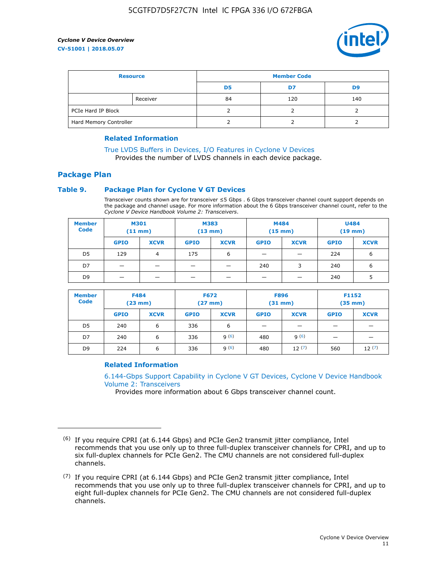

| <b>Resource</b>        |          | <b>Member Code</b> |     |     |  |  |
|------------------------|----------|--------------------|-----|-----|--|--|
|                        |          | D5                 | D7  | D9  |  |  |
|                        | Receiver | 84                 | 120 | 140 |  |  |
| PCIe Hard IP Block     |          |                    |     |     |  |  |
| Hard Memory Controller |          |                    |     |     |  |  |

#### **Related Information**

[True LVDS Buffers in Devices, I/O Features in Cyclone V Devices](https://www.altera.com/documentation/sam1403481100977.html#sam1403480885395) Provides the number of LVDS channels in each device package.

#### **Package Plan**

#### **Table 9. Package Plan for Cyclone V GT Devices**

Transceiver counts shown are for transceiver ≤5 Gbps . 6 Gbps transceiver channel count support depends on the package and channel usage. For more information about the 6 Gbps transceiver channel count, refer to the *Cyclone V Device Handbook Volume 2: Transceivers*.

| <b>Member</b><br><b>Code</b> | <b>M301</b><br>(11 mm) |                | M383<br>$(13 \text{ mm})$ |             | M484<br>$(15 \text{ mm})$ |             | <b>U484</b><br>$(19$ mm) |             |
|------------------------------|------------------------|----------------|---------------------------|-------------|---------------------------|-------------|--------------------------|-------------|
|                              | <b>GPIO</b>            | <b>XCVR</b>    | <b>GPIO</b>               | <b>XCVR</b> | <b>GPIO</b>               | <b>XCVR</b> | <b>GPIO</b>              | <b>XCVR</b> |
| D5                           | 129                    | $\overline{4}$ | 175                       | 6           | -                         |             | 224                      | 6           |
| D7                           | -                      |                |                           |             | 240                       | 3           | 240                      | 6           |
| D <sub>9</sub>               | -                      | _              |                           |             | _                         |             | 240                      | 5           |

| <b>Member</b><br><b>Code</b> | <b>F484</b><br>$(23$ mm) |             | <b>F672</b><br>$(27$ mm $)$ |             | <b>F896</b><br>$(31$ mm $)$ |             | F1152<br>$(35$ mm $)$ |             |
|------------------------------|--------------------------|-------------|-----------------------------|-------------|-----------------------------|-------------|-----------------------|-------------|
|                              | <b>GPIO</b>              | <b>XCVR</b> | <b>GPIO</b>                 | <b>XCVR</b> | <b>GPIO</b>                 | <b>XCVR</b> | <b>GPIO</b>           | <b>XCVR</b> |
| D <sub>5</sub>               | 240                      | 6           | 336                         | 6           | -                           |             |                       |             |
| D7                           | 240                      | 6           | 336                         | q(6)        | 480                         | q(6)        |                       |             |
| D <sub>9</sub>               | 224                      | 6           | 336                         | 9(6)        | 480                         | 12(7)       | 560                   | 12(7)       |

#### **Related Information**

[6.144-Gbps Support Capability in Cyclone V GT Devices, Cyclone V Device Handbook](https://www.altera.com/documentation/nik1409855456781.html#nik1409855410757) [Volume 2: Transceivers](https://www.altera.com/documentation/nik1409855456781.html#nik1409855410757)

Provides more information about 6 Gbps transceiver channel count.

<sup>(6)</sup> If you require CPRI (at 6.144 Gbps) and PCIe Gen2 transmit jitter compliance, Intel recommends that you use only up to three full-duplex transceiver channels for CPRI, and up to six full-duplex channels for PCIe Gen2. The CMU channels are not considered full-duplex channels.

 $(7)$  If you require CPRI (at 6.144 Gbps) and PCIe Gen2 transmit jitter compliance, Intel recommends that you use only up to three full-duplex transceiver channels for CPRI, and up to eight full-duplex channels for PCIe Gen2. The CMU channels are not considered full-duplex channels.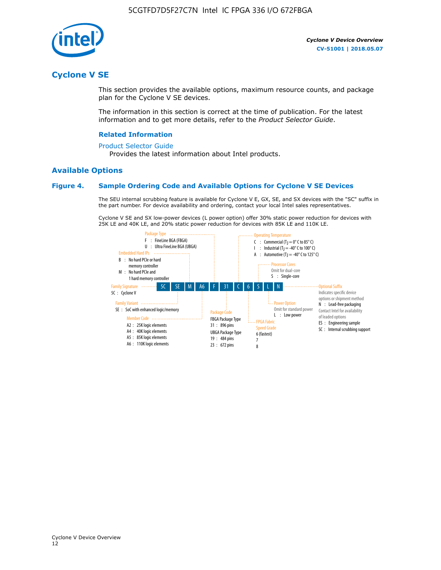

## **Cyclone V SE**

This section provides the available options, maximum resource counts, and package plan for the Cyclone V SE devices.

The information in this section is correct at the time of publication. For the latest information and to get more details, refer to the *Product Selector Guide*.

#### **Related Information**

#### [Product Selector Guide](https://www.altera.com/products/product-selector-guide.html)

Provides the latest information about Intel products.

#### **Available Options**

#### **Figure 4. Sample Ordering Code and Available Options for Cyclone V SE Devices**

The SEU internal scrubbing feature is available for Cyclone V E, GX, SE, and SX devices with the "SC" suffix in the part number. For device availability and ordering, contact your local Intel sales representatives.

Cyclone V SE and SX low-power devices (L power option) offer 30% static power reduction for devices with 25K LE and 40K LE, and 20% static power reduction for devices with 85K LE and 110K LE.

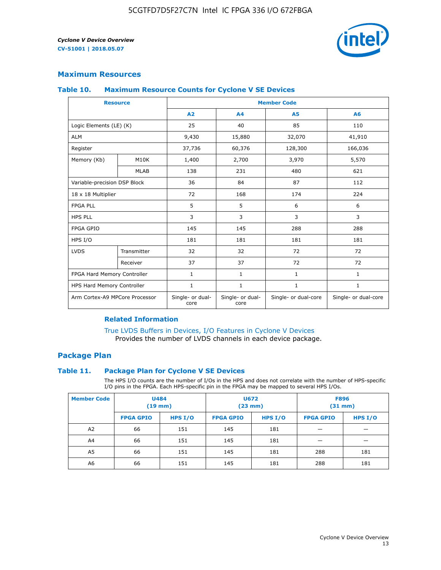

#### **Maximum Resources**

#### **Table 10. Maximum Resource Counts for Cyclone V SE Devices**

|                                | <b>Resource</b> | <b>Member Code</b>       |                          |                      |                      |  |
|--------------------------------|-----------------|--------------------------|--------------------------|----------------------|----------------------|--|
|                                |                 | A2                       | A4                       | <b>A5</b>            | A6                   |  |
| Logic Elements (LE) (K)        |                 | 25                       | 40                       | 85                   | 110                  |  |
| <b>ALM</b>                     |                 | 9,430                    | 15,880                   | 32,070               | 41,910               |  |
| Register                       |                 | 37,736                   | 60,376                   | 128,300              | 166,036              |  |
| Memory (Kb)                    | M10K            | 1,400                    | 2,700                    | 3,970                | 5,570                |  |
|                                | <b>MLAB</b>     | 138                      | 231                      | 480                  | 621                  |  |
| Variable-precision DSP Block   |                 | 36                       | 84                       | 87                   | 112                  |  |
| 18 x 18 Multiplier             |                 | 72                       | 168                      | 174                  | 224                  |  |
| <b>FPGA PLL</b>                |                 | 5                        | 5                        | 6                    | 6                    |  |
| <b>HPS PLL</b>                 |                 | 3                        | 3                        | 3                    | 3                    |  |
| <b>FPGA GPIO</b>               |                 | 145                      | 145                      | 288                  | 288                  |  |
| HPS I/O                        |                 | 181                      | 181                      | 181                  | 181                  |  |
| <b>LVDS</b>                    | Transmitter     | 32                       | 32                       | 72                   | 72                   |  |
|                                | Receiver        | 37                       | 37                       | 72                   | 72                   |  |
| FPGA Hard Memory Controller    |                 | 1                        | $\mathbf{1}$             | $\mathbf{1}$         | $\mathbf{1}$         |  |
| HPS Hard Memory Controller     |                 | $\mathbf{1}$             | $\mathbf{1}$             | $\mathbf{1}$         | $\mathbf{1}$         |  |
| Arm Cortex-A9 MPCore Processor |                 | Single- or dual-<br>core | Single- or dual-<br>core | Single- or dual-core | Single- or dual-core |  |

#### **Related Information**

[True LVDS Buffers in Devices, I/O Features in Cyclone V Devices](https://www.altera.com/documentation/sam1403481100977.html#sam1403480885395) Provides the number of LVDS channels in each device package.

#### **Package Plan**

#### **Table 11. Package Plan for Cyclone V SE Devices**

The HPS I/O counts are the number of I/Os in the HPS and does not correlate with the number of HPS-specific I/O pins in the FPGA. Each HPS-specific pin in the FPGA may be mapped to several HPS I/Os.

| <b>Member Code</b> | <b>U484</b><br>$(19$ mm) |           | <b>U672</b><br>(23 mm) |           | <b>F896</b><br>$(31$ mm $)$ |         |
|--------------------|--------------------------|-----------|------------------------|-----------|-----------------------------|---------|
|                    | <b>FPGA GPIO</b>         | HPS $I/O$ | <b>FPGA GPIO</b>       | HPS $I/O$ | <b>FPGA GPIO</b>            | HPS I/O |
| A <sub>2</sub>     | 66                       | 151       | 145                    | 181       |                             |         |
| A4                 | 66                       | 151       | 145                    | 181       |                             |         |
| A <sub>5</sub>     | 66                       | 151       | 145                    | 181       | 288                         | 181     |
| A6                 | 66                       | 151       | 145                    | 181       | 288                         | 181     |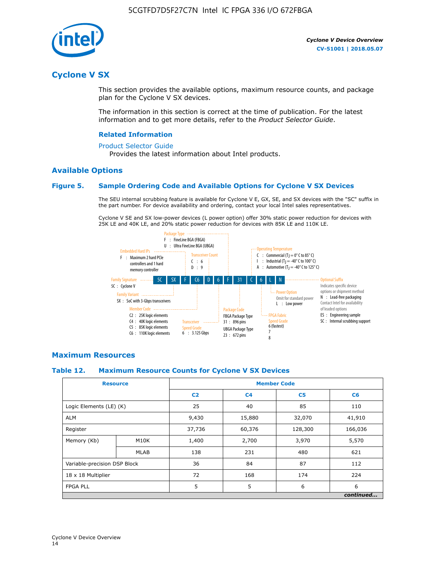

## **Cyclone V SX**

This section provides the available options, maximum resource counts, and package plan for the Cyclone V SX devices.

The information in this section is correct at the time of publication. For the latest information and to get more details, refer to the *Product Selector Guide*.

#### **Related Information**

#### [Product Selector Guide](https://www.altera.com/products/product-selector-guide.html)

Provides the latest information about Intel products.

#### **Available Options**

#### **Figure 5. Sample Ordering Code and Available Options for Cyclone V SX Devices**

The SEU internal scrubbing feature is available for Cyclone V E, GX, SE, and SX devices with the "SC" suffix in the part number. For device availability and ordering, contact your local Intel sales representatives.

Cyclone V SE and SX low-power devices (L power option) offer 30% static power reduction for devices with 25K LE and 40K LE, and 20% static power reduction for devices with 85K LE and 110K LE.



#### **Maximum Resources**

#### **Table 12. Maximum Resource Counts for Cyclone V SX Devices**

|                              | <b>Resource</b> | <b>Member Code</b> |                |                |           |  |
|------------------------------|-----------------|--------------------|----------------|----------------|-----------|--|
|                              |                 | C <sub>2</sub>     | C <sub>4</sub> | C <sub>5</sub> | C6        |  |
| Logic Elements (LE) (K)      |                 | 25                 | 40             | 85             | 110       |  |
| <b>ALM</b>                   |                 | 9,430              | 15,880         | 32,070         | 41,910    |  |
| Register                     |                 | 37,736             | 60,376         | 128,300        | 166,036   |  |
| Memory (Kb)                  | M10K            | 1,400              | 2,700          | 3,970          | 5,570     |  |
|                              | <b>MLAB</b>     | 138                | 231            | 480            | 621       |  |
| Variable-precision DSP Block |                 | 36                 | 84             | 87             | 112       |  |
| 18 x 18 Multiplier           |                 | 72                 | 168            | 174            | 224       |  |
| <b>FPGA PLL</b>              |                 | 5                  | 5              | 6              | 6         |  |
|                              |                 |                    |                |                | continued |  |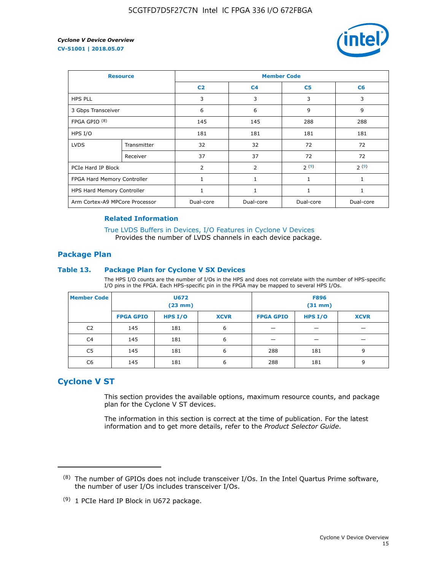

| <b>Resource</b>                |             | <b>Member Code</b> |                |                |              |  |  |
|--------------------------------|-------------|--------------------|----------------|----------------|--------------|--|--|
|                                |             | C <sub>2</sub>     | C <sub>4</sub> | C <sub>5</sub> | C6           |  |  |
| <b>HPS PLL</b>                 |             | 3                  | 3              | 3              | 3            |  |  |
| 3 Gbps Transceiver             |             | 6                  | 6              | 9              | 9            |  |  |
| FPGA GPIO $(8)$                |             | 145                | 145            | 288            | 288          |  |  |
| HPS I/O                        |             | 181                | 181            | 181            | 181          |  |  |
| <b>LVDS</b>                    | Transmitter | 32                 | 32             | 72             | 72           |  |  |
|                                | Receiver    | 37                 | 37             | 72             | 72           |  |  |
| PCIe Hard IP Block             |             | $\overline{2}$     | 2              | 2(9)           | 2(9)         |  |  |
| FPGA Hard Memory Controller    |             | 1                  | $\mathbf{1}$   | $\mathbf{1}$   | $\mathbf{1}$ |  |  |
| HPS Hard Memory Controller     |             | 1                  | $\mathbf{1}$   | 1              | 1            |  |  |
| Arm Cortex-A9 MPCore Processor |             | Dual-core          | Dual-core      | Dual-core      | Dual-core    |  |  |

#### **Related Information**

[True LVDS Buffers in Devices, I/O Features in Cyclone V Devices](https://www.altera.com/documentation/sam1403481100977.html#sam1403480885395) Provides the number of LVDS channels in each device package.

#### **Package Plan**

#### **Table 13. Package Plan for Cyclone V SX Devices**

The HPS I/O counts are the number of I/Os in the HPS and does not correlate with the number of HPS-specific I/O pins in the FPGA. Each HPS-specific pin in the FPGA may be mapped to several HPS I/Os.

| <b>Member Code</b> | U672<br>(23 mm)  |           | <b>F896</b><br>$(31$ mm $)$ |                  |           |             |
|--------------------|------------------|-----------|-----------------------------|------------------|-----------|-------------|
|                    | <b>FPGA GPIO</b> | HPS $I/O$ | <b>XCVR</b>                 | <b>FPGA GPIO</b> | HPS $I/O$ | <b>XCVR</b> |
| C <sub>2</sub>     | 145              | 181       | 6                           |                  |           |             |
| C <sub>4</sub>     | 145              | 181       | 6                           |                  |           |             |
| C5                 | 145              | 181       | 6                           | 288              | 181       | 9           |
| C6                 | 145              | 181       | 6                           | 288              | 181       | 9           |

## **Cyclone V ST**

This section provides the available options, maximum resource counts, and package plan for the Cyclone V ST devices.

The information in this section is correct at the time of publication. For the latest information and to get more details, refer to the *Product Selector Guide*.

 $(8)$  The number of GPIOs does not include transceiver I/Os. In the Intel Quartus Prime software, the number of user I/Os includes transceiver I/Os.

<sup>(9)</sup> 1 PCIe Hard IP Block in U672 package.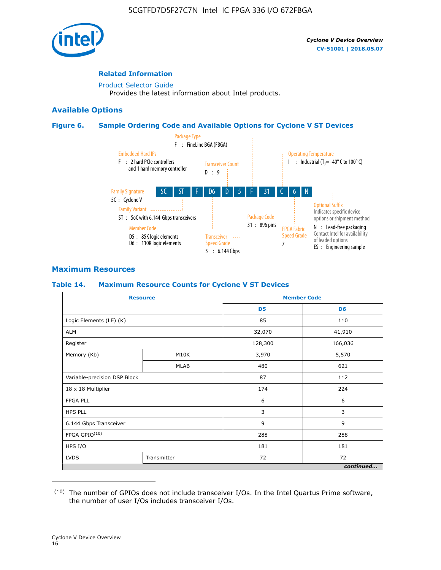

#### **Related Information**

[Product Selector Guide](https://www.altera.com/products/product-selector-guide.html) Provides the latest information about Intel products.

#### **Available Options**

#### **Figure 6. Sample Ordering Code and Available Options for Cyclone V ST Devices**



## **Maximum Resources**

#### **Table 14. Maximum Resource Counts for Cyclone V ST Devices**

| <b>Resource</b>              |             |                | <b>Member Code</b> |
|------------------------------|-------------|----------------|--------------------|
|                              |             | D <sub>5</sub> | D <sub>6</sub>     |
| Logic Elements (LE) (K)      |             | 85             | 110                |
| <b>ALM</b>                   |             | 32,070         | 41,910             |
| Register                     |             | 128,300        | 166,036            |
| Memory (Kb)                  | M10K        | 3,970          | 5,570              |
|                              | <b>MLAB</b> | 480            | 621                |
| Variable-precision DSP Block |             | 87             | 112                |
| 18 x 18 Multiplier           |             | 174            | 224                |
| <b>FPGA PLL</b>              |             | 6              | 6                  |
| <b>HPS PLL</b>               |             | 3              | 3                  |
| 6.144 Gbps Transceiver       |             | 9              | 9                  |
| FPGA GPIO(10)                |             | 288            | 288                |
| HPS I/O                      |             | 181            | 181                |
| <b>LVDS</b><br>Transmitter   |             | 72             | 72                 |
|                              |             |                | continued          |

<sup>(10)</sup> The number of GPIOs does not include transceiver I/Os. In the Intel Quartus Prime software, the number of user I/Os includes transceiver I/Os.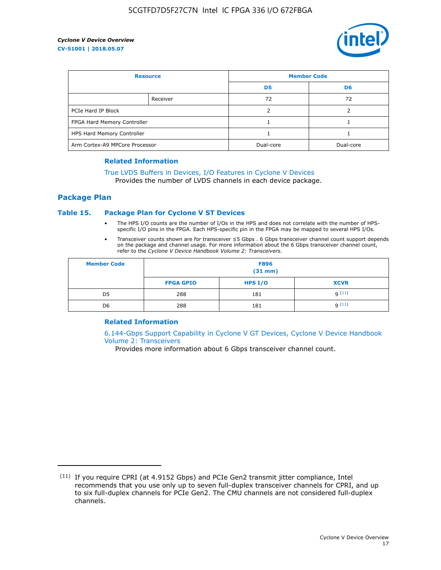

| <b>Resource</b>                |          | <b>Member Code</b> |                |  |
|--------------------------------|----------|--------------------|----------------|--|
|                                |          | D <sub>5</sub>     | D <sub>6</sub> |  |
|                                | Receiver | 72                 | 72             |  |
| PCIe Hard IP Block             |          |                    |                |  |
| FPGA Hard Memory Controller    |          |                    |                |  |
| HPS Hard Memory Controller     |          |                    |                |  |
| Arm Cortex-A9 MPCore Processor |          | Dual-core          | Dual-core      |  |

#### **Related Information**

## [True LVDS Buffers in Devices, I/O Features in Cyclone V Devices](https://www.altera.com/documentation/sam1403481100977.html#sam1403480885395)

Provides the number of LVDS channels in each device package.

#### **Package Plan**

#### **Table 15. Package Plan for Cyclone V ST Devices**

- The HPS I/O counts are the number of I/Os in the HPS and does not correlate with the number of HPSspecific I/O pins in the FPGA. Each HPS-specific pin in the FPGA may be mapped to several HPS I/Os.
- Transceiver counts shown are for transceiver ≤5 Gbps . 6 Gbps transceiver channel count support depends on the package and channel usage. For more information about the 6 Gbps transceiver channel count, refer to the *Cyclone V Device Handbook Volume 2: Transceivers*.

| <b>Member Code</b> | <b>F896</b><br>$(31$ mm $)$ |           |             |  |  |
|--------------------|-----------------------------|-----------|-------------|--|--|
|                    | <b>FPGA GPIO</b>            | HPS $I/O$ | <b>XCVR</b> |  |  |
| D <sub>5</sub>     | 288                         | 181       | 9(11)       |  |  |
| D <sub>6</sub>     | 288                         | 181       | q(11)       |  |  |

#### **Related Information**

[6.144-Gbps Support Capability in Cyclone V GT Devices, Cyclone V Device Handbook](https://www.altera.com/documentation/nik1409855456781.html#nik1409855410757) [Volume 2: Transceivers](https://www.altera.com/documentation/nik1409855456781.html#nik1409855410757)

Provides more information about 6 Gbps transceiver channel count.

<sup>(11)</sup> If you require CPRI (at 4.9152 Gbps) and PCIe Gen2 transmit jitter compliance, Intel recommends that you use only up to seven full-duplex transceiver channels for CPRI, and up to six full-duplex channels for PCIe Gen2. The CMU channels are not considered full-duplex channels.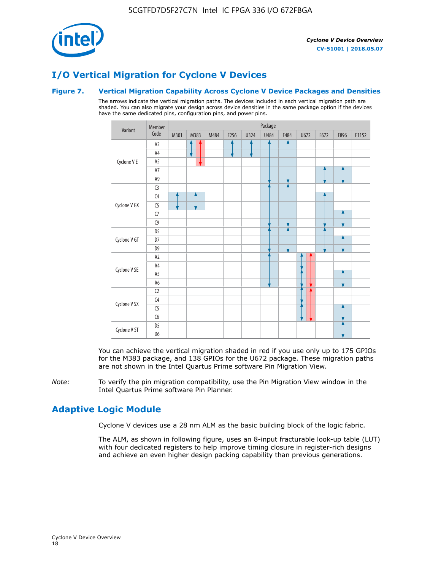

# **I/O Vertical Migration for Cyclone V Devices**

#### **Figure 7. Vertical Migration Capability Across Cyclone V Device Packages and Densities**

The arrows indicate the vertical migration paths. The devices included in each vertical migration path are shaded. You can also migrate your design across device densities in the same package option if the devices have the same dedicated pins, configuration pins, and power pins.



You can achieve the vertical migration shaded in red if you use only up to 175 GPIOs for the M383 package, and 138 GPIOs for the U672 package. These migration paths are not shown in the Intel Quartus Prime software Pin Migration View.

*Note:* To verify the pin migration compatibility, use the Pin Migration View window in the Intel Quartus Prime software Pin Planner.

# **Adaptive Logic Module**

Cyclone V devices use a 28 nm ALM as the basic building block of the logic fabric.

The ALM, as shown in following figure, uses an 8-input fracturable look-up table (LUT) with four dedicated registers to help improve timing closure in register-rich designs and achieve an even higher design packing capability than previous generations.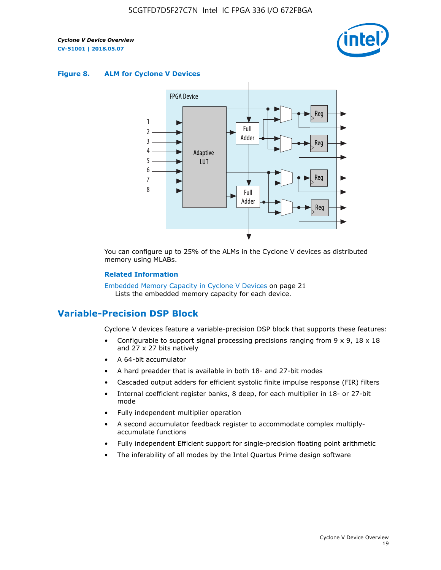

#### **Figure 8. ALM for Cyclone V Devices**



You can configure up to 25% of the ALMs in the Cyclone V devices as distributed memory using MLABs.

#### **Related Information**

Embedded Memory Capacity in Cyclone V Devices on page 21 Lists the embedded memory capacity for each device.

## **Variable-Precision DSP Block**

Cyclone V devices feature a variable-precision DSP block that supports these features:

- Configurable to support signal processing precisions ranging from  $9 \times 9$ ,  $18 \times 18$ and 27 x 27 bits natively
- A 64-bit accumulator
- A hard preadder that is available in both 18- and 27-bit modes
- Cascaded output adders for efficient systolic finite impulse response (FIR) filters
- Internal coefficient register banks, 8 deep, for each multiplier in 18- or 27-bit mode
- Fully independent multiplier operation
- A second accumulator feedback register to accommodate complex multiplyaccumulate functions
- Fully independent Efficient support for single-precision floating point arithmetic
- The inferability of all modes by the Intel Quartus Prime design software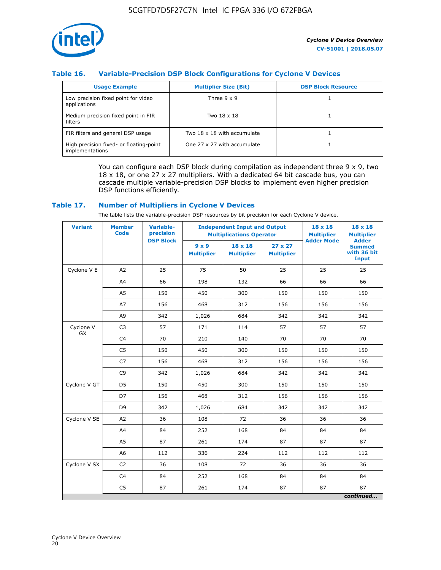

## **Table 16. Variable-Precision DSP Block Configurations for Cyclone V Devices**

| <b>Usage Example</b>                                       | <b>Multiplier Size (Bit)</b> | <b>DSP Block Resource</b> |
|------------------------------------------------------------|------------------------------|---------------------------|
| Low precision fixed point for video<br>applications        | Three $9 \times 9$           |                           |
| Medium precision fixed point in FIR<br>filters             | Two 18 x 18                  |                           |
| FIR filters and general DSP usage                          | Two 18 x 18 with accumulate  |                           |
| High precision fixed- or floating-point<br>implementations | One 27 x 27 with accumulate  |                           |

You can configure each DSP block during compilation as independent three  $9 \times 9$ , two 18 x 18, or one 27 x 27 multipliers. With a dedicated 64 bit cascade bus, you can cascade multiple variable-precision DSP blocks to implement even higher precision DSP functions efficiently.

#### **Table 17. Number of Multipliers in Cyclone V Devices**

The table lists the variable-precision DSP resources by bit precision for each Cyclone V device.

| <b>Variant</b>  | <b>Member</b><br><b>Code</b> | <b>Variable-</b><br>precision |                                   | <b>Independent Input and Output</b><br><b>Multiplications Operator</b> | $18 \times 18$<br><b>Multiplier</b> | $18 \times 18$<br><b>Multiplier</b> |                                                              |
|-----------------|------------------------------|-------------------------------|-----------------------------------|------------------------------------------------------------------------|-------------------------------------|-------------------------------------|--------------------------------------------------------------|
|                 |                              | <b>DSP Block</b>              | $9 \times 9$<br><b>Multiplier</b> | $18 \times 18$<br><b>Multiplier</b>                                    | $27 \times 27$<br><b>Multiplier</b> | <b>Adder Mode</b>                   | <b>Adder</b><br><b>Summed</b><br>with 36 bit<br><b>Input</b> |
| Cyclone V E     | A2                           | 25                            | 75                                | 50                                                                     | 25                                  | 25                                  | 25                                                           |
|                 | A4                           | 66                            | 198                               | 132                                                                    | 66                                  | 66                                  | 66                                                           |
|                 | A5                           | 150                           | 450                               | 300                                                                    | 150                                 | 150                                 | 150                                                          |
|                 | A7                           | 156                           | 468                               | 312                                                                    | 156                                 | 156                                 | 156                                                          |
|                 | A9                           | 342                           | 1,026                             | 684                                                                    | 342                                 | 342                                 | 342                                                          |
| Cyclone V<br>GX | C <sub>3</sub>               | 57                            | 171                               | 114                                                                    | 57                                  | 57                                  | 57                                                           |
|                 | C <sub>4</sub>               | 70                            | 210                               | 140                                                                    | 70                                  | 70                                  | 70                                                           |
|                 | C <sub>5</sub>               | 150                           | 450                               | 300                                                                    | 150                                 | 150                                 | 150                                                          |
|                 | C7                           | 156                           | 468                               | 312                                                                    | 156                                 | 156                                 | 156                                                          |
|                 | C <sub>9</sub>               | 342                           | 1,026                             | 684                                                                    | 342                                 | 342                                 | 342                                                          |
| Cyclone V GT    | D <sub>5</sub>               | 150                           | 450                               | 300                                                                    | 150                                 | 150                                 | 150                                                          |
|                 | D7                           | 156                           | 468                               | 312                                                                    | 156                                 | 156                                 | 156                                                          |
|                 | D <sub>9</sub>               | 342                           | 1,026                             | 684                                                                    | 342                                 | 342                                 | 342                                                          |
| Cyclone V SE    | A <sub>2</sub>               | 36                            | 108                               | 72                                                                     | 36                                  | 36                                  | 36                                                           |
|                 | A4                           | 84                            | 252                               | 168                                                                    | 84                                  | 84                                  | 84                                                           |
|                 | A5                           | 87                            | 261                               | 174                                                                    | 87                                  | 87                                  | 87                                                           |
|                 | A <sub>6</sub>               | 112                           | 336                               | 224                                                                    | 112                                 | 112                                 | 112                                                          |
| Cyclone V SX    | C <sub>2</sub>               | 36                            | 108                               | 72                                                                     | 36                                  | 36                                  | 36                                                           |
|                 | C <sub>4</sub>               | 84                            | 252                               | 168                                                                    | 84                                  | 84                                  | 84                                                           |
|                 | C <sub>5</sub>               | 87                            | 261                               | 174                                                                    | 87                                  | 87                                  | 87                                                           |
|                 |                              |                               |                                   |                                                                        |                                     |                                     | continued                                                    |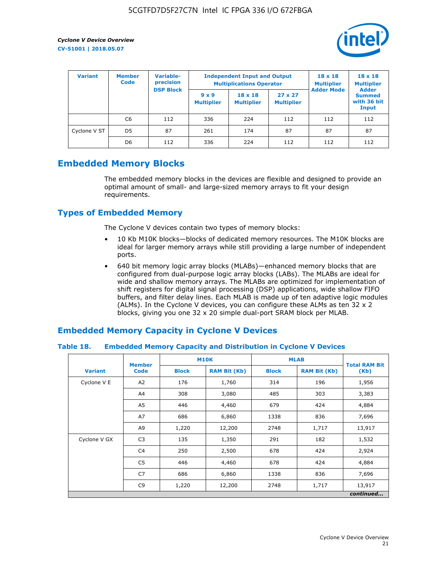

| <b>Variant</b> | <b>Member</b><br><b>Code</b> | <b>Variable-</b><br>precision<br><b>DSP Block</b> |                                   | <b>Independent Input and Output</b><br><b>Multiplications Operator</b> | $18 \times 18$<br><b>Multiplier</b> | $18 \times 18$<br><b>Multiplier</b><br><b>Adder</b> |                                       |
|----------------|------------------------------|---------------------------------------------------|-----------------------------------|------------------------------------------------------------------------|-------------------------------------|-----------------------------------------------------|---------------------------------------|
|                |                              |                                                   | $9 \times 9$<br><b>Multiplier</b> | $18 \times 18$<br><b>Multiplier</b>                                    | $27 \times 27$<br><b>Multiplier</b> | <b>Adder Mode</b>                                   | <b>Summed</b><br>with 36 bit<br>Input |
|                | C6                           | 112                                               | 336                               | 224                                                                    | 112                                 | 112                                                 | 112                                   |
| Cyclone V ST   | D <sub>5</sub>               | 87                                                | 261                               | 174                                                                    | 87                                  | 87                                                  | 87                                    |
|                | D <sub>6</sub>               | 112                                               | 336                               | 224                                                                    | 112                                 | 112                                                 | 112                                   |

## **Embedded Memory Blocks**

The embedded memory blocks in the devices are flexible and designed to provide an optimal amount of small- and large-sized memory arrays to fit your design requirements.

## **Types of Embedded Memory**

The Cyclone V devices contain two types of memory blocks:

- 10 Kb M10K blocks—blocks of dedicated memory resources. The M10K blocks are ideal for larger memory arrays while still providing a large number of independent ports.
- 640 bit memory logic array blocks (MLABs)—enhanced memory blocks that are configured from dual-purpose logic array blocks (LABs). The MLABs are ideal for wide and shallow memory arrays. The MLABs are optimized for implementation of shift registers for digital signal processing (DSP) applications, wide shallow FIFO buffers, and filter delay lines. Each MLAB is made up of ten adaptive logic modules (ALMs). In the Cyclone V devices, you can configure these ALMs as ten 32 x 2 blocks, giving you one 32 x 20 simple dual-port SRAM block per MLAB.

## **Embedded Memory Capacity in Cyclone V Devices**

#### **Table 18. Embedded Memory Capacity and Distribution in Cyclone V Devices**

|                | <b>Member</b>  | <b>M10K</b>  |                     | <b>MLAB</b>  | <b>Total RAM Bit</b> |        |  |  |  |
|----------------|----------------|--------------|---------------------|--------------|----------------------|--------|--|--|--|
| <b>Variant</b> | <b>Code</b>    | <b>Block</b> | <b>RAM Bit (Kb)</b> | <b>Block</b> | <b>RAM Bit (Kb)</b>  | (Kb)   |  |  |  |
| Cyclone V E    | A2             | 176          | 1,760               | 314          | 196                  | 1,956  |  |  |  |
|                | A4             | 308          | 3,080               | 485          | 303                  | 3,383  |  |  |  |
|                | A5             | 446          | 4,460               | 679          | 424                  | 4,884  |  |  |  |
|                | A7             | 686          | 6,860               | 1338         | 836                  | 7,696  |  |  |  |
|                | A9             | 1,220        | 12,200              | 2748         | 1,717                | 13,917 |  |  |  |
| Cyclone V GX   | C <sub>3</sub> | 135          | 1,350               | 291          | 182                  | 1,532  |  |  |  |
|                | C4             | 250          | 2,500               | 678          | 424                  | 2,924  |  |  |  |
|                | C5             | 446          | 4,460               | 678          | 424                  | 4,884  |  |  |  |
|                | C7             | 686          | 6,860               | 1338         | 836                  | 7,696  |  |  |  |
|                | C <sub>9</sub> | 1,220        | 12,200              | 2748         | 1,717                | 13,917 |  |  |  |
|                | continued      |              |                     |              |                      |        |  |  |  |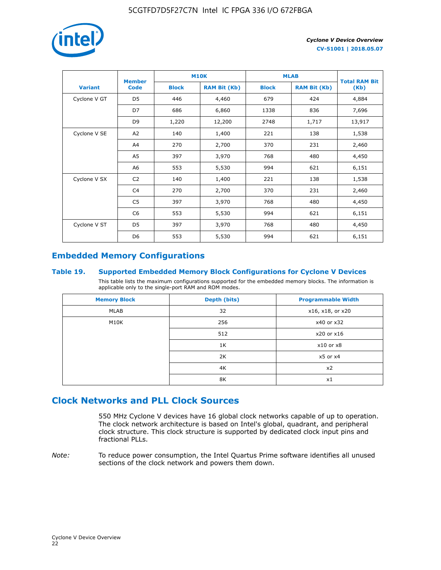

|                | <b>Member</b>  |              | <b>M10K</b>         | <b>MLAB</b>  | <b>Total RAM Bit</b> |        |
|----------------|----------------|--------------|---------------------|--------------|----------------------|--------|
| <b>Variant</b> | <b>Code</b>    | <b>Block</b> | <b>RAM Bit (Kb)</b> | <b>Block</b> | <b>RAM Bit (Kb)</b>  | (Kb)   |
| Cyclone V GT   | D <sub>5</sub> | 446          | 4,460               | 679          | 424                  | 4,884  |
|                | D7             | 686          | 6,860               | 1338         | 836                  | 7,696  |
|                | D <sub>9</sub> | 1,220        | 12,200              | 2748         | 1,717                | 13,917 |
| Cyclone V SE   | A <sub>2</sub> | 140          | 1,400               | 221          | 138                  | 1,538  |
|                | A4             | 270          | 2,700               | 370          | 231                  | 2,460  |
|                | A5             | 397          | 3,970               | 768          | 480                  | 4,450  |
|                | A6             | 553          | 5,530               | 994          | 621                  | 6,151  |
| Cyclone V SX   | C <sub>2</sub> | 140          | 1,400               | 221          | 138                  | 1,538  |
|                | C <sub>4</sub> | 270          | 2,700               | 370          | 231                  | 2,460  |
|                | C5             | 397          | 3,970               | 768          | 480                  | 4,450  |
|                | C <sub>6</sub> | 553          | 5,530               | 994          | 621                  | 6,151  |
| Cyclone V ST   | D <sub>5</sub> | 397          | 3,970               | 768          | 480                  | 4,450  |
|                | D <sub>6</sub> | 553          | 5,530               | 994          | 621                  | 6,151  |

# **Embedded Memory Configurations**

#### **Table 19. Supported Embedded Memory Block Configurations for Cyclone V Devices**

This table lists the maximum configurations supported for the embedded memory blocks. The information is applicable only to the single-port RAM and ROM modes.

| <b>Memory Block</b> | Depth (bits) | <b>Programmable Width</b> |
|---------------------|--------------|---------------------------|
| MLAB                | 32           | x16, x18, or x20          |
| M10K                | 256          | x40 or x32                |
|                     | 512          | x20 or x16                |
|                     | 1K           | $x10$ or $x8$             |
|                     | 2K           | $x5$ or $x4$              |
|                     | 4K           | x2                        |
|                     | 8K           | x1                        |

# **Clock Networks and PLL Clock Sources**

550 MHz Cyclone V devices have 16 global clock networks capable of up to operation. The clock network architecture is based on Intel's global, quadrant, and peripheral clock structure. This clock structure is supported by dedicated clock input pins and fractional PLLs.

*Note:* To reduce power consumption, the Intel Quartus Prime software identifies all unused sections of the clock network and powers them down.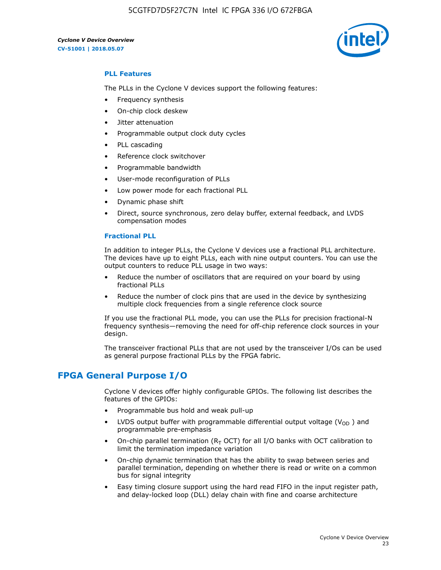

#### **PLL Features**

The PLLs in the Cyclone V devices support the following features:

- Frequency synthesis
- On-chip clock deskew
- Jitter attenuation
- Programmable output clock duty cycles
- PLL cascading
- Reference clock switchover
- Programmable bandwidth
- User-mode reconfiguration of PLLs
- Low power mode for each fractional PLL
- Dynamic phase shift
- Direct, source synchronous, zero delay buffer, external feedback, and LVDS compensation modes

#### **Fractional PLL**

In addition to integer PLLs, the Cyclone V devices use a fractional PLL architecture. The devices have up to eight PLLs, each with nine output counters. You can use the output counters to reduce PLL usage in two ways:

- Reduce the number of oscillators that are required on your board by using fractional PLLs
- Reduce the number of clock pins that are used in the device by synthesizing multiple clock frequencies from a single reference clock source

If you use the fractional PLL mode, you can use the PLLs for precision fractional-N frequency synthesis—removing the need for off-chip reference clock sources in your design.

The transceiver fractional PLLs that are not used by the transceiver I/Os can be used as general purpose fractional PLLs by the FPGA fabric.

## **FPGA General Purpose I/O**

Cyclone V devices offer highly configurable GPIOs. The following list describes the features of the GPIOs:

- Programmable bus hold and weak pull-up
- LVDS output buffer with programmable differential output voltage ( $V_{OD}$ ) and programmable pre-emphasis
- On-chip parallel termination ( $R<sub>T</sub>$  OCT) for all I/O banks with OCT calibration to limit the termination impedance variation
- On-chip dynamic termination that has the ability to swap between series and parallel termination, depending on whether there is read or write on a common bus for signal integrity
- Easy timing closure support using the hard read FIFO in the input register path, and delay-locked loop (DLL) delay chain with fine and coarse architecture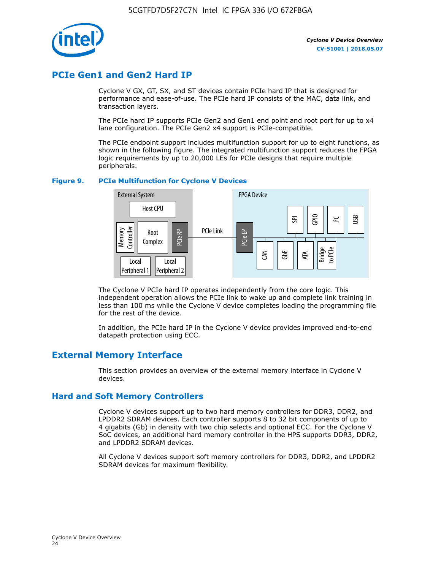

# **PCIe Gen1 and Gen2 Hard IP**

Cyclone V GX, GT, SX, and ST devices contain PCIe hard IP that is designed for performance and ease-of-use. The PCIe hard IP consists of the MAC, data link, and transaction layers.

The PCIe hard IP supports PCIe Gen2 and Gen1 end point and root port for up to x4 lane configuration. The PCIe Gen2 x4 support is PCIe-compatible.

The PCIe endpoint support includes multifunction support for up to eight functions, as shown in the following figure. The integrated multifunction support reduces the FPGA logic requirements by up to 20,000 LEs for PCIe designs that require multiple peripherals.

#### **Figure 9. PCIe Multifunction for Cyclone V Devices**



The Cyclone V PCIe hard IP operates independently from the core logic. This independent operation allows the PCIe link to wake up and complete link training in less than 100 ms while the Cyclone V device completes loading the programming file for the rest of the device.

In addition, the PCIe hard IP in the Cyclone V device provides improved end-to-end datapath protection using ECC.

## **External Memory Interface**

This section provides an overview of the external memory interface in Cyclone V devices.

### **Hard and Soft Memory Controllers**

Cyclone V devices support up to two hard memory controllers for DDR3, DDR2, and LPDDR2 SDRAM devices. Each controller supports 8 to 32 bit components of up to 4 gigabits (Gb) in density with two chip selects and optional ECC. For the Cyclone V SoC devices, an additional hard memory controller in the HPS supports DDR3, DDR2, and LPDDR2 SDRAM devices.

All Cyclone V devices support soft memory controllers for DDR3, DDR2, and LPDDR2 SDRAM devices for maximum flexibility.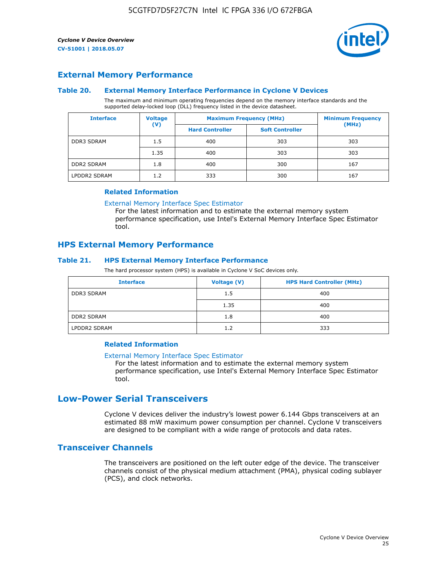

## **External Memory Performance**

#### **Table 20. External Memory Interface Performance in Cyclone V Devices**

The maximum and minimum operating frequencies depend on the memory interface standards and the supported delay-locked loop (DLL) frequency listed in the device datasheet.

| <b>Voltage</b><br><b>Interface</b> |                | <b>Maximum Frequency (MHz)</b> | <b>Minimum Frequency</b> |       |
|------------------------------------|----------------|--------------------------------|--------------------------|-------|
|                                    | $(\mathsf{V})$ | <b>Hard Controller</b>         | <b>Soft Controller</b>   | (MHz) |
| <b>DDR3 SDRAM</b>                  | 1.5            | 400                            | 303                      | 303   |
|                                    | 1.35           | 400                            | 303                      | 303   |
| <b>DDR2 SDRAM</b>                  | 1.8            | 400                            | 300                      | 167   |
| LPDDR2 SDRAM                       | 1.2            | 333                            | 300                      | 167   |

#### **Related Information**

[External Memory Interface Spec Estimator](https://www.altera.com/solutions/technology/external-memory/spec-estimator.html)

For the latest information and to estimate the external memory system performance specification, use Intel's External Memory Interface Spec Estimator tool.

### **HPS External Memory Performance**

#### **Table 21. HPS External Memory Interface Performance**

The hard processor system (HPS) is available in Cyclone V SoC devices only.

| <b>Interface</b>  | <b>Voltage (V)</b> | <b>HPS Hard Controller (MHz)</b> |
|-------------------|--------------------|----------------------------------|
| DDR3 SDRAM        | 1.5                | 400                              |
|                   | 1.35               | 400                              |
| <b>DDR2 SDRAM</b> | 1.8                | 400                              |
| LPDDR2 SDRAM      | 1.2                | 333                              |

#### **Related Information**

#### [External Memory Interface Spec Estimator](https://www.altera.com/solutions/technology/external-memory/spec-estimator.html)

For the latest information and to estimate the external memory system performance specification, use Intel's External Memory Interface Spec Estimator tool.

## **Low-Power Serial Transceivers**

Cyclone V devices deliver the industry's lowest power 6.144 Gbps transceivers at an estimated 88 mW maximum power consumption per channel. Cyclone V transceivers are designed to be compliant with a wide range of protocols and data rates.

## **Transceiver Channels**

The transceivers are positioned on the left outer edge of the device. The transceiver channels consist of the physical medium attachment (PMA), physical coding sublayer (PCS), and clock networks.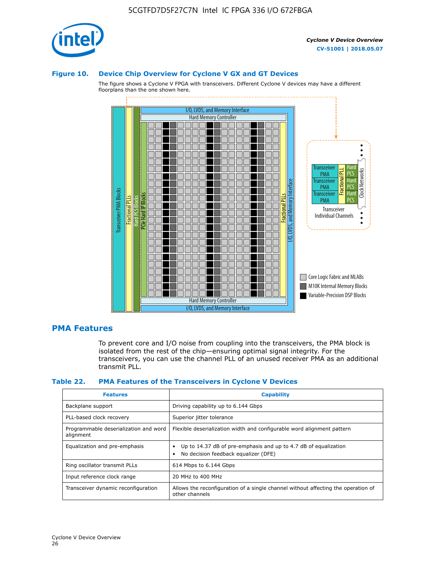

#### **Figure 10. Device Chip Overview for Cyclone V GX and GT Devices**

The figure shows a Cyclone V FPGA with transceivers. Different Cyclone V devices may have a different floorplans than the one shown here.



### **PMA Features**

To prevent core and I/O noise from coupling into the transceivers, the PMA block is isolated from the rest of the chip—ensuring optimal signal integrity. For the transceivers, you can use the channel PLL of an unused receiver PMA as an additional transmit PLL.

#### **Table 22. PMA Features of the Transceivers in Cyclone V Devices**

| <b>Features</b>                                    | <b>Capability</b>                                                                                       |
|----------------------------------------------------|---------------------------------------------------------------------------------------------------------|
| Backplane support                                  | Driving capability up to 6.144 Gbps                                                                     |
| PLL-based clock recovery                           | Superior jitter tolerance                                                                               |
| Programmable deserialization and word<br>alignment | Flexible deserialization width and configurable word alignment pattern                                  |
| Equalization and pre-emphasis                      | Up to 14.37 dB of pre-emphasis and up to 4.7 dB of equalization<br>No decision feedback equalizer (DFE) |
| Ring oscillator transmit PLLs                      | 614 Mbps to 6.144 Gbps                                                                                  |
| Input reference clock range                        | 20 MHz to 400 MHz                                                                                       |
| Transceiver dynamic reconfiguration                | Allows the reconfiguration of a single channel without affecting the operation of<br>other channels     |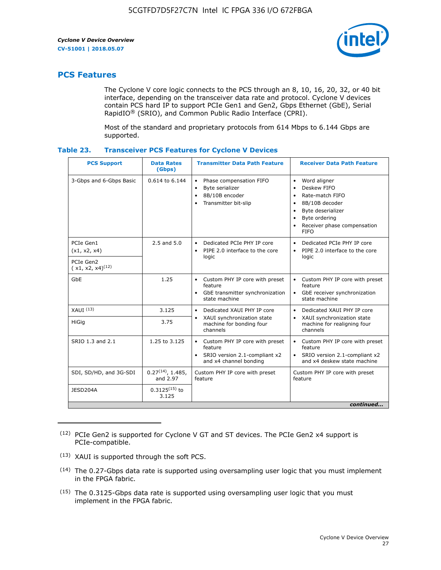

## **PCS Features**

The Cyclone V core logic connects to the PCS through an 8, 10, 16, 20, 32, or 40 bit interface, depending on the transceiver data rate and protocol. Cyclone V devices contain PCS hard IP to support PCIe Gen1 and Gen2, Gbps Ethernet (GbE), Serial RapidIO® (SRIO), and Common Public Radio Interface (CPRI).

Most of the standard and proprietary protocols from 614 Mbps to 6.144 Gbps are supported.

| Table 23. |  | <b>Transceiver PCS Features for Cyclone V Devices</b> |
|-----------|--|-------------------------------------------------------|
|           |  |                                                       |

| <b>PCS Support</b>                 | <b>Data Rates</b><br>(Gbps)        | <b>Transmitter Data Path Feature</b>                                                                         | <b>Receiver Data Path Feature</b>                                                                                                                                                                                                  |  |  |
|------------------------------------|------------------------------------|--------------------------------------------------------------------------------------------------------------|------------------------------------------------------------------------------------------------------------------------------------------------------------------------------------------------------------------------------------|--|--|
| 3-Gbps and 6-Gbps Basic            | 0.614 to 6.144                     | • Phase compensation FIFO<br>Byte serializer<br>8B/10B encoder<br>Transmitter bit-slip                       | Word aligner<br>$\bullet$<br>Deskew FIFO<br>$\bullet$<br>Rate-match FIFO<br>$\bullet$<br>8B/10B decoder<br>$\bullet$<br>Byte deserializer<br>$\bullet$<br>Byte ordering<br>$\bullet$<br>Receiver phase compensation<br><b>FIFO</b> |  |  |
| PCIe Gen1<br>(x1, x2, x4)          | $2.5$ and $5.0$                    | Dedicated PCIe PHY IP core<br>PIPE 2.0 interface to the core<br>$\bullet$<br>logic                           | Dedicated PCIe PHY IP core<br>$\bullet$<br>PIPE 2.0 interface to the core<br>$\bullet$<br>logic                                                                                                                                    |  |  |
| PCIe Gen2<br>$(x1, x2, x4)^{(12)}$ |                                    |                                                                                                              |                                                                                                                                                                                                                                    |  |  |
| GbE                                | 1.25                               | • Custom PHY IP core with preset<br>feature<br>GbE transmitter synchronization<br>$\bullet$<br>state machine | • Custom PHY IP core with preset<br>feature<br>GbE receiver synchronization<br>state machine                                                                                                                                       |  |  |
| $XAUI$ $(13)$                      | 3.125                              | Dedicated XAUI PHY IP core<br>$\bullet$                                                                      | Dedicated XAUI PHY IP core<br>$\bullet$                                                                                                                                                                                            |  |  |
| <b>HiGig</b>                       | 3.75                               | XAUI synchronization state<br>$\bullet$<br>machine for bonding four<br>channels                              | XAUI synchronization state<br>$\bullet$<br>machine for realigning four<br>channels                                                                                                                                                 |  |  |
| SRIO 1.3 and 2.1                   | 1.25 to 3.125                      | • Custom PHY IP core with preset<br>feature<br>• SRIO version 2.1-compliant x2<br>and x4 channel bonding     | • Custom PHY IP core with preset<br>feature<br>• SRIO version 2.1-compliant x2<br>and x4 deskew state machine                                                                                                                      |  |  |
| SDI, SD/HD, and 3G-SDI             | $0.27^{(14)}$ , 1.485,<br>and 2.97 | Custom PHY IP core with preset<br>feature                                                                    | Custom PHY IP core with preset<br>feature                                                                                                                                                                                          |  |  |
| JESD204A                           | $0.3125^{(15)}$ to<br>3.125        |                                                                                                              |                                                                                                                                                                                                                                    |  |  |
| continued                          |                                    |                                                                                                              |                                                                                                                                                                                                                                    |  |  |

<sup>(12)</sup> PCIe Gen2 is supported for Cyclone V GT and ST devices. The PCIe Gen2 x4 support is PCIe-compatible.

<sup>(13)</sup> XAUI is supported through the soft PCS.

<sup>(14)</sup> The 0.27-Gbps data rate is supported using oversampling user logic that you must implement in the FPGA fabric.

<sup>(15)</sup> The 0.3125-Gbps data rate is supported using oversampling user logic that you must implement in the FPGA fabric.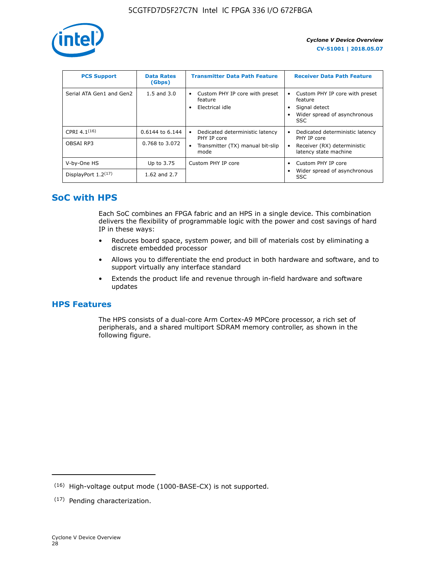

| <b>PCS Support</b>       | <b>Data Rates</b><br>(Gbps) | <b>Transmitter Data Path Feature</b>                         | <b>Receiver Data Path Feature</b>                                                                  |
|--------------------------|-----------------------------|--------------------------------------------------------------|----------------------------------------------------------------------------------------------------|
| Serial ATA Gen1 and Gen2 | $1.5$ and $3.0$             | Custom PHY IP core with preset<br>feature<br>Electrical idle | Custom PHY IP core with preset<br>feature<br>Signal detect<br>Wider spread of asynchronous<br>SSC. |
| CPRI $4.1^{(16)}$        | 0.6144 to 6.144             | Dedicated deterministic latency<br>$\bullet$<br>PHY IP core  | Dedicated deterministic latency<br>PHY IP core                                                     |
| OBSAI RP3                | 0.768 to 3.072              | Transmitter (TX) manual bit-slip<br>mode                     | Receiver (RX) deterministic<br>latency state machine                                               |
| V-by-One HS              | Up to 3.75                  | Custom PHY IP core                                           | Custom PHY IP core                                                                                 |
| DisplayPort $1.2^{(17)}$ | 1.62 and $2.7$              |                                                              | Wider spread of asynchronous<br><b>SSC</b>                                                         |

# **SoC with HPS**

Each SoC combines an FPGA fabric and an HPS in a single device. This combination delivers the flexibility of programmable logic with the power and cost savings of hard IP in these ways:

- Reduces board space, system power, and bill of materials cost by eliminating a discrete embedded processor
- Allows you to differentiate the end product in both hardware and software, and to support virtually any interface standard
- Extends the product life and revenue through in-field hardware and software updates

## **HPS Features**

The HPS consists of a dual-core Arm Cortex-A9 MPCore processor, a rich set of peripherals, and a shared multiport SDRAM memory controller, as shown in the following figure.

<sup>(16)</sup> High-voltage output mode (1000-BASE-CX) is not supported.

<sup>(17)</sup> Pending characterization.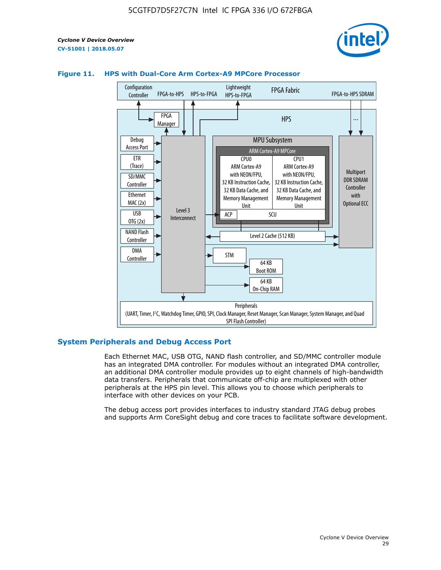



#### **Figure 11. HPS with Dual-Core Arm Cortex-A9 MPCore Processor**

#### **System Peripherals and Debug Access Port**

Each Ethernet MAC, USB OTG, NAND flash controller, and SD/MMC controller module has an integrated DMA controller. For modules without an integrated DMA controller, an additional DMA controller module provides up to eight channels of high-bandwidth data transfers. Peripherals that communicate off-chip are multiplexed with other peripherals at the HPS pin level. This allows you to choose which peripherals to interface with other devices on your PCB.

The debug access port provides interfaces to industry standard JTAG debug probes and supports Arm CoreSight debug and core traces to facilitate software development.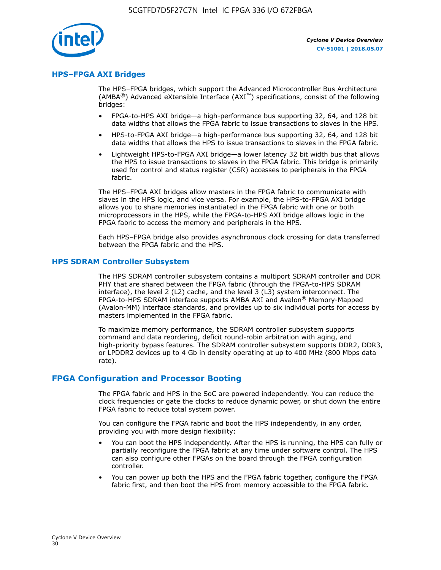

#### **HPS–FPGA AXI Bridges**

The HPS–FPGA bridges, which support the Advanced Microcontroller Bus Architecture (AMBA<sup>®</sup>) Advanced eXtensible Interface (AXI<sup>™</sup>) specifications, consist of the following bridges:

- FPGA-to-HPS AXI bridge—a high-performance bus supporting 32, 64, and 128 bit data widths that allows the FPGA fabric to issue transactions to slaves in the HPS.
- HPS-to-FPGA AXI bridge—a high-performance bus supporting 32, 64, and 128 bit data widths that allows the HPS to issue transactions to slaves in the FPGA fabric.
- Lightweight HPS-to-FPGA AXI bridge—a lower latency 32 bit width bus that allows the HPS to issue transactions to slaves in the FPGA fabric. This bridge is primarily used for control and status register (CSR) accesses to peripherals in the FPGA fabric.

The HPS–FPGA AXI bridges allow masters in the FPGA fabric to communicate with slaves in the HPS logic, and vice versa. For example, the HPS-to-FPGA AXI bridge allows you to share memories instantiated in the FPGA fabric with one or both microprocessors in the HPS, while the FPGA-to-HPS AXI bridge allows logic in the FPGA fabric to access the memory and peripherals in the HPS.

Each HPS–FPGA bridge also provides asynchronous clock crossing for data transferred between the FPGA fabric and the HPS.

#### **HPS SDRAM Controller Subsystem**

The HPS SDRAM controller subsystem contains a multiport SDRAM controller and DDR PHY that are shared between the FPGA fabric (through the FPGA-to-HPS SDRAM interface), the level 2 (L2) cache, and the level 3 (L3) system interconnect. The FPGA-to-HPS SDRAM interface supports AMBA AXI and Avalon® Memory-Mapped (Avalon-MM) interface standards, and provides up to six individual ports for access by masters implemented in the FPGA fabric.

To maximize memory performance, the SDRAM controller subsystem supports command and data reordering, deficit round-robin arbitration with aging, and high-priority bypass features. The SDRAM controller subsystem supports DDR2, DDR3, or LPDDR2 devices up to 4 Gb in density operating at up to 400 MHz (800 Mbps data rate).

#### **FPGA Configuration and Processor Booting**

The FPGA fabric and HPS in the SoC are powered independently. You can reduce the clock frequencies or gate the clocks to reduce dynamic power, or shut down the entire FPGA fabric to reduce total system power.

You can configure the FPGA fabric and boot the HPS independently, in any order, providing you with more design flexibility:

- You can boot the HPS independently. After the HPS is running, the HPS can fully or partially reconfigure the FPGA fabric at any time under software control. The HPS can also configure other FPGAs on the board through the FPGA configuration controller.
- You can power up both the HPS and the FPGA fabric together, configure the FPGA fabric first, and then boot the HPS from memory accessible to the FPGA fabric.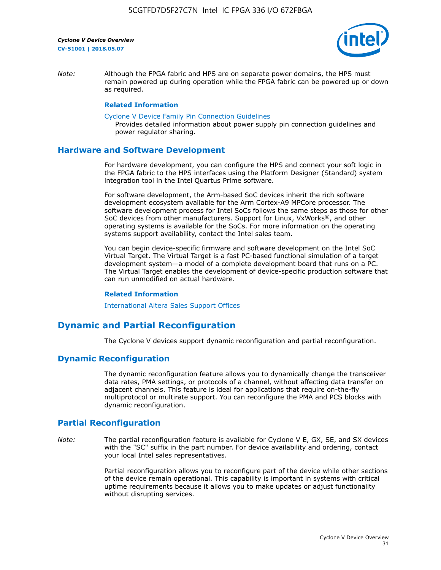

*Note:* Although the FPGA fabric and HPS are on separate power domains, the HPS must remain powered up during operation while the FPGA fabric can be powered up or down as required.

#### **Related Information**

[Cyclone V Device Family Pin Connection Guidelines](https://www.altera.com/content/dam/altera-www/global/en_US/pdfs/literature/dp/cyclone-v/pcg-01014.pdf)

Provides detailed information about power supply pin connection guidelines and power regulator sharing.

#### **Hardware and Software Development**

For hardware development, you can configure the HPS and connect your soft logic in the FPGA fabric to the HPS interfaces using the Platform Designer (Standard) system integration tool in the Intel Quartus Prime software.

For software development, the Arm-based SoC devices inherit the rich software development ecosystem available for the Arm Cortex-A9 MPCore processor. The software development process for Intel SoCs follows the same steps as those for other SoC devices from other manufacturers. Support for Linux, VxWorks®, and other operating systems is available for the SoCs. For more information on the operating systems support availability, contact the Intel sales team.

You can begin device-specific firmware and software development on the Intel SoC Virtual Target. The Virtual Target is a fast PC-based functional simulation of a target development system—a model of a complete development board that runs on a PC. The Virtual Target enables the development of device-specific production software that can run unmodified on actual hardware.

#### **Related Information**

[International Altera Sales Support Offices](https://www.altera.com/about/contact/contact/international-altera-sales-offices.html)

## **Dynamic and Partial Reconfiguration**

The Cyclone V devices support dynamic reconfiguration and partial reconfiguration.

### **Dynamic Reconfiguration**

The dynamic reconfiguration feature allows you to dynamically change the transceiver data rates, PMA settings, or protocols of a channel, without affecting data transfer on adjacent channels. This feature is ideal for applications that require on-the-fly multiprotocol or multirate support. You can reconfigure the PMA and PCS blocks with dynamic reconfiguration.

## **Partial Reconfiguration**

*Note:* The partial reconfiguration feature is available for Cyclone V E, GX, SE, and SX devices with the "SC" suffix in the part number. For device availability and ordering, contact your local Intel sales representatives.

> Partial reconfiguration allows you to reconfigure part of the device while other sections of the device remain operational. This capability is important in systems with critical uptime requirements because it allows you to make updates or adjust functionality without disrupting services.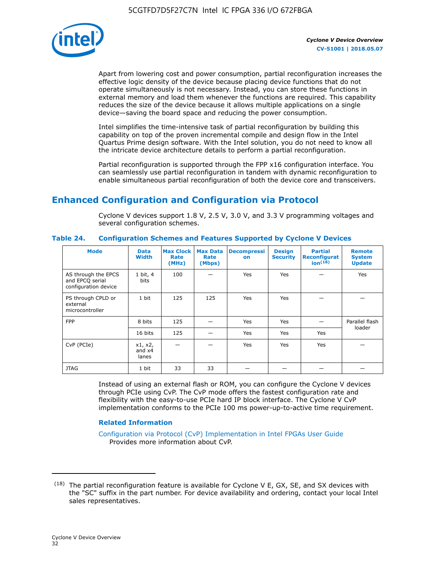

Apart from lowering cost and power consumption, partial reconfiguration increases the effective logic density of the device because placing device functions that do not operate simultaneously is not necessary. Instead, you can store these functions in external memory and load them whenever the functions are required. This capability reduces the size of the device because it allows multiple applications on a single device—saving the board space and reducing the power consumption.

Intel simplifies the time-intensive task of partial reconfiguration by building this capability on top of the proven incremental compile and design flow in the Intel Quartus Prime design software. With the Intel solution, you do not need to know all the intricate device architecture details to perform a partial reconfiguration.

Partial reconfiguration is supported through the FPP x16 configuration interface. You can seamlessly use partial reconfiguration in tandem with dynamic reconfiguration to enable simultaneous partial reconfiguration of both the device core and transceivers.

# **Enhanced Configuration and Configuration via Protocol**

Cyclone V devices support 1.8 V, 2.5 V, 3.0 V, and 3.3 V programming voltages and several configuration schemes.

| <b>Mode</b>                                                    | <b>Data</b><br>Width         | Max Clock  <br>Rate<br>(MHz) | <b>Max Data</b><br>Rate<br>(Mbps) | <b>Decompressi</b><br>on | <b>Design</b><br><b>Security</b> | <b>Partial</b><br><b>Reconfigurat</b><br>ion <sup>(18)</sup> | <b>Remote</b><br><b>System</b><br><b>Update</b> |
|----------------------------------------------------------------|------------------------------|------------------------------|-----------------------------------|--------------------------|----------------------------------|--------------------------------------------------------------|-------------------------------------------------|
| AS through the EPCS<br>and EPCQ serial<br>configuration device | 1 bit, 4<br>bits             | 100                          |                                   | Yes                      | <b>Yes</b>                       |                                                              | Yes                                             |
| PS through CPLD or<br>external<br>microcontroller              | 1 bit                        | 125                          | 125                               | Yes                      | <b>Yes</b>                       |                                                              |                                                 |
| <b>FPP</b>                                                     | 8 bits                       | 125                          |                                   | Yes                      | <b>Yes</b>                       |                                                              | Parallel flash                                  |
|                                                                | 16 bits                      | 125                          |                                   | Yes                      | <b>Yes</b>                       | Yes                                                          | loader                                          |
| CvP (PCIe)                                                     | x1, x2,<br>and $x4$<br>lanes |                              |                                   | Yes                      | <b>Yes</b>                       | Yes                                                          |                                                 |
| <b>JTAG</b>                                                    | 1 bit                        | 33                           | 33                                |                          |                                  |                                                              |                                                 |

**Table 24. Configuration Schemes and Features Supported by Cyclone V Devices**

Instead of using an external flash or ROM, you can configure the Cyclone V devices through PCIe using CvP. The CvP mode offers the fastest configuration rate and flexibility with the easy-to-use PCIe hard IP block interface. The Cyclone V CvP implementation conforms to the PCIe 100 ms power-up-to-active time requirement.

### **Related Information**

[Configuration via Protocol \(CvP\) Implementation in Intel FPGAs User Guide](https://www.altera.com/documentation/nik1412546950394.html#nik1412546833714) Provides more information about CvP.

 $(18)$  The partial reconfiguration feature is available for Cyclone V E, GX, SE, and SX devices with the "SC" suffix in the part number. For device availability and ordering, contact your local Intel sales representatives.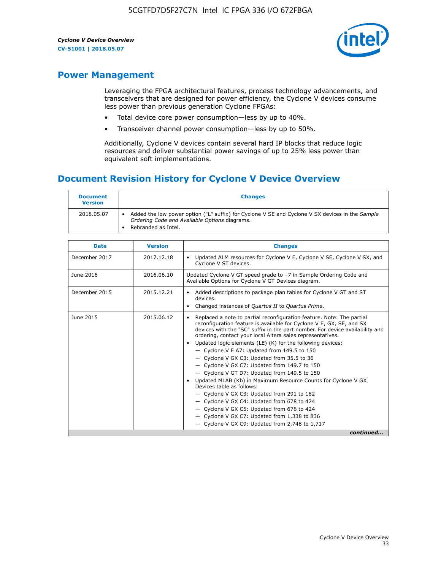

## **Power Management**

Leveraging the FPGA architectural features, process technology advancements, and transceivers that are designed for power efficiency, the Cyclone V devices consume less power than previous generation Cyclone FPGAs:

- Total device core power consumption—less by up to 40%.
- Transceiver channel power consumption—less by up to 50%.

Additionally, Cyclone V devices contain several hard IP blocks that reduce logic resources and deliver substantial power savings of up to 25% less power than equivalent soft implementations.

## **Document Revision History for Cyclone V Device Overview**

| <b>Document</b><br><b>Version</b> | <b>Changes</b>                                                                                                                                                          |
|-----------------------------------|-------------------------------------------------------------------------------------------------------------------------------------------------------------------------|
| 2018.05.07                        | Added the low power option ("L" suffix) for Cyclone V SE and Cyclone V SX devices in the Sample<br>Ordering Code and Available Options diagrams.<br>Rebranded as Intel. |

| <b>Date</b>   | <b>Version</b> | <b>Changes</b>                                                                                                                                                                                                                                                                                                                                                                                                                                                                                                                                                                                                                                                                                                                                                                                                                                                                                                  |
|---------------|----------------|-----------------------------------------------------------------------------------------------------------------------------------------------------------------------------------------------------------------------------------------------------------------------------------------------------------------------------------------------------------------------------------------------------------------------------------------------------------------------------------------------------------------------------------------------------------------------------------------------------------------------------------------------------------------------------------------------------------------------------------------------------------------------------------------------------------------------------------------------------------------------------------------------------------------|
| December 2017 | 2017.12.18     | Updated ALM resources for Cyclone V E, Cyclone V SE, Cyclone V SX, and<br>Cyclone V ST devices.                                                                                                                                                                                                                                                                                                                                                                                                                                                                                                                                                                                                                                                                                                                                                                                                                 |
| June 2016     | 2016.06.10     | Updated Cyclone V GT speed grade to -7 in Sample Ordering Code and<br>Available Options for Cyclone V GT Devices diagram.                                                                                                                                                                                                                                                                                                                                                                                                                                                                                                                                                                                                                                                                                                                                                                                       |
| December 2015 | 2015.12.21     | Added descriptions to package plan tables for Cyclone V GT and ST<br>devices.<br>Changed instances of Quartus II to Quartus Prime.                                                                                                                                                                                                                                                                                                                                                                                                                                                                                                                                                                                                                                                                                                                                                                              |
| June 2015     | 2015.06.12     | Replaced a note to partial reconfiguration feature. Note: The partial<br>reconfiguration feature is available for Cyclone V E, GX, SE, and SX<br>devices with the "SC" suffix in the part number. For device availability and<br>ordering, contact your local Altera sales representatives.<br>Updated logic elements (LE) (K) for the following devices:<br>$\bullet$<br>- Cyclone V E A7: Updated from 149.5 to 150<br>- Cyclone V GX C3: Updated from 35.5 to 36<br>- Cyclone V GX C7: Updated from 149.7 to 150<br>- Cyclone V GT D7: Updated from 149.5 to 150<br>Updated MLAB (Kb) in Maximum Resource Counts for Cyclone V GX<br>Devices table as follows:<br>- Cyclone V GX C3: Updated from 291 to 182<br>- Cyclone V GX C4: Updated from 678 to 424<br>- Cyclone V GX C5: Updated from 678 to 424<br>- Cyclone V GX C7: Updated from 1,338 to 836<br>$-$ Cyclone V GX C9: Updated from 2,748 to 1,717 |
|               |                | continued                                                                                                                                                                                                                                                                                                                                                                                                                                                                                                                                                                                                                                                                                                                                                                                                                                                                                                       |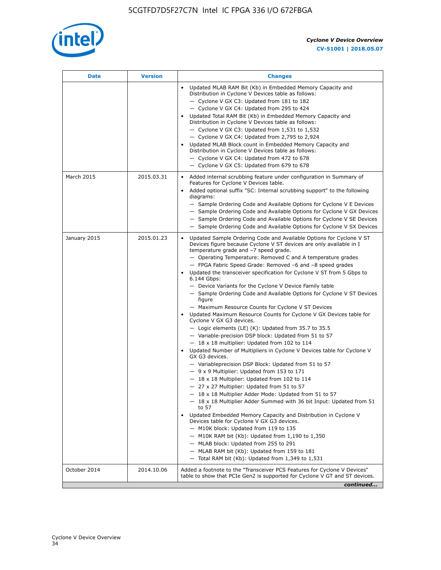

| Date         | <b>Version</b> | <b>Changes</b>                                                                                                                                                                                                                                                                                                                                                                                                                                                                                                                                                                                                                                                                                                                                                                                                                                                                                                                                                                                                                                                                                                                                                                                                                                                                                                                                                                                                                                                                                                                                                                                                                                                                                                |
|--------------|----------------|---------------------------------------------------------------------------------------------------------------------------------------------------------------------------------------------------------------------------------------------------------------------------------------------------------------------------------------------------------------------------------------------------------------------------------------------------------------------------------------------------------------------------------------------------------------------------------------------------------------------------------------------------------------------------------------------------------------------------------------------------------------------------------------------------------------------------------------------------------------------------------------------------------------------------------------------------------------------------------------------------------------------------------------------------------------------------------------------------------------------------------------------------------------------------------------------------------------------------------------------------------------------------------------------------------------------------------------------------------------------------------------------------------------------------------------------------------------------------------------------------------------------------------------------------------------------------------------------------------------------------------------------------------------------------------------------------------------|
|              |                | Updated MLAB RAM Bit (Kb) in Embedded Memory Capacity and<br>Distribution in Cyclone V Devices table as follows:<br>- Cyclone V GX C3: Updated from 181 to 182<br>- Cyclone V GX C4: Updated from 295 to 424<br>Updated Total RAM Bit (Kb) in Embedded Memory Capacity and<br>Distribution in Cyclone V Devices table as follows:<br>- Cyclone V GX C3: Updated from 1,531 to 1,532<br>- Cyclone V GX C4: Updated from 2,795 to 2,924<br>Updated MLAB Block count in Embedded Memory Capacity and<br>Distribution in Cyclone V Devices table as follows:<br>- Cyclone V GX C4: Updated from 472 to 678<br>- Cyclone V GX C5: Updated from 679 to 678                                                                                                                                                                                                                                                                                                                                                                                                                                                                                                                                                                                                                                                                                                                                                                                                                                                                                                                                                                                                                                                          |
| March 2015   | 2015.03.31     | Added internal scrubbing feature under configuration in Summary of<br>$\bullet$<br>Features for Cyclone V Devices table.<br>Added optional suffix "SC: Internal scrubbing support" to the following<br>diagrams:<br>- Sample Ordering Code and Available Options for Cyclone V E Devices<br>- Sample Ordering Code and Available Options for Cyclone V GX Devices<br>- Sample Ordering Code and Available Options for Cyclone V SE Devices<br>- Sample Ordering Code and Available Options for Cyclone V SX Devices                                                                                                                                                                                                                                                                                                                                                                                                                                                                                                                                                                                                                                                                                                                                                                                                                                                                                                                                                                                                                                                                                                                                                                                           |
| January 2015 | 2015.01.23     | Updated Sample Ordering Code and Available Options for Cyclone V ST<br>Devices figure because Cyclone V ST devices are only available in I<br>temperature grade and -7 speed grade.<br>- Operating Temperature: Removed C and A temperature grades<br>- FPGA Fabric Speed Grade: Removed -6 and -8 speed grades<br>Updated the transceiver specification for Cyclone V ST from 5 Gbps to<br>6.144 Gbps:<br>- Device Variants for the Cyclone V Device Family table<br>- Sample Ordering Code and Available Options for Cyclone V ST Devices<br>figure<br>- Maximum Resource Counts for Cyclone V ST Devices<br>Updated Maximum Resource Counts for Cyclone V GX Devices table for<br>Cyclone V GX G3 devices.<br>$-$ Logic elements (LE) (K): Updated from 35.7 to 35.5<br>- Variable-precision DSP block: Updated from 51 to 57<br>$-18 \times 18$ multiplier: Updated from 102 to 114<br>Updated Number of Multipliers in Cyclone V Devices table for Cyclone V<br>GX G3 devices.<br>- Variableprecision DSP Block: Updated from 51 to 57<br>$-9x9$ Multiplier: Updated from 153 to 171<br>$-18 \times 18$ Multiplier: Updated from 102 to 114<br>- 27 x 27 Multiplier: Updated from 51 to 57<br>- 18 x 18 Multiplier Adder Mode: Updated from 51 to 57<br>$-18 \times 18$ Multiplier Adder Summed with 36 bit Input: Updated from 51<br>to 57<br>Updated Embedded Memory Capacity and Distribution in Cyclone V<br>Devices table for Cyclone V GX G3 devices.<br>- M10K block: Updated from 119 to 135<br>- M10K RAM bit (Kb): Updated from 1,190 to 1,350<br>- MLAB block: Updated from 255 to 291<br>- MLAB RAM bit (Kb): Updated from 159 to 181<br>$-$ Total RAM bit (Kb): Updated from 1,349 to 1,531 |
| October 2014 | 2014.10.06     | Added a footnote to the "Transceiver PCS Features for Cyclone V Devices"<br>table to show that PCIe Gen2 is supported for Cyclone V GT and ST devices.                                                                                                                                                                                                                                                                                                                                                                                                                                                                                                                                                                                                                                                                                                                                                                                                                                                                                                                                                                                                                                                                                                                                                                                                                                                                                                                                                                                                                                                                                                                                                        |
|              |                | continued                                                                                                                                                                                                                                                                                                                                                                                                                                                                                                                                                                                                                                                                                                                                                                                                                                                                                                                                                                                                                                                                                                                                                                                                                                                                                                                                                                                                                                                                                                                                                                                                                                                                                                     |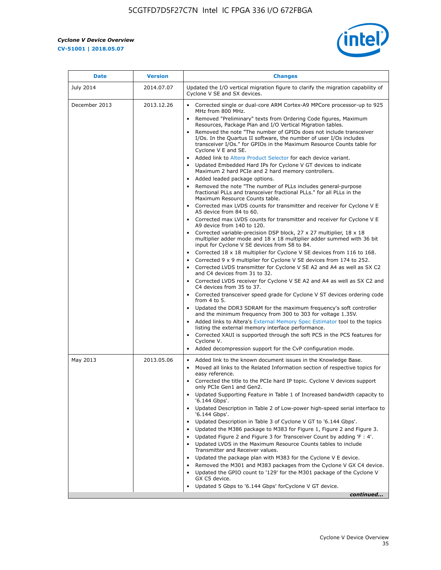r



| <b>Date</b>   | <b>Version</b> | <b>Changes</b>                                                                                                                                                                                                                           |
|---------------|----------------|------------------------------------------------------------------------------------------------------------------------------------------------------------------------------------------------------------------------------------------|
| July 2014     | 2014.07.07     | Updated the I/O vertical migration figure to clarify the migration capability of<br>Cyclone V SE and SX devices.                                                                                                                         |
| December 2013 | 2013.12.26     | Corrected single or dual-core ARM Cortex-A9 MPCore processor-up to 925<br>MHz from 800 MHz.                                                                                                                                              |
|               |                | Removed "Preliminary" texts from Ordering Code figures, Maximum<br>Resources, Package Plan and I/O Vertical Migration tables.                                                                                                            |
|               |                | Removed the note "The number of GPIOs does not include transceiver<br>I/Os. In the Quartus II software, the number of user I/Os includes<br>transceiver I/Os." for GPIOs in the Maximum Resource Counts table for<br>Cyclone V E and SE. |
|               |                | Added link to Altera Product Selector for each device variant.<br>Updated Embedded Hard IPs for Cyclone V GT devices to indicate<br>$\bullet$<br>Maximum 2 hard PCIe and 2 hard memory controllers.                                      |
|               |                | • Added leaded package options.<br>Removed the note "The number of PLLs includes general-purpose<br>fractional PLLs and transceiver fractional PLLs." for all PLLs in the<br>Maximum Resource Counts table.                              |
|               |                | • Corrected max LVDS counts for transmitter and receiver for Cyclone V E<br>A5 device from 84 to 60.                                                                                                                                     |
|               |                | • Corrected max LVDS counts for transmitter and receiver for Cyclone V E<br>A9 device from 140 to 120.                                                                                                                                   |
|               |                | Corrected variable-precision DSP block, 27 x 27 multiplier, 18 x 18<br>multiplier adder mode and $18 \times 18$ multiplier adder summed with 36 bit<br>input for Cyclone V SE devices from 58 to 84.                                     |
|               |                | Corrected $18 \times 18$ multiplier for Cyclone V SE devices from 116 to 168.<br>Corrected 9 x 9 multiplier for Cyclone V SE devices from 174 to 252.                                                                                    |
|               |                | • Corrected LVDS transmitter for Cyclone V SE A2 and A4 as well as SX C2<br>and C4 devices from 31 to 32.                                                                                                                                |
|               |                | • Corrected LVDS receiver for Cyclone V SE A2 and A4 as well as SX C2 and<br>C4 devices from 35 to 37.                                                                                                                                   |
|               |                | • Corrected transceiver speed grade for Cyclone V ST devices ordering code<br>from 4 to 5.                                                                                                                                               |
|               |                | Updated the DDR3 SDRAM for the maximum frequency's soft controller<br>and the minimum frequency from 300 to 303 for voltage 1.35V.                                                                                                       |
|               |                | Added links to Altera's External Memory Spec Estimator tool to the topics<br>listing the external memory interface performance.                                                                                                          |
|               |                | • Corrected XAUI is supported through the soft PCS in the PCS features for<br>Cyclone V.<br>Added decompression support for the CvP configuration mode.                                                                                  |
|               |                |                                                                                                                                                                                                                                          |
| May 2013      | 2013.05.06     | Added link to the known document issues in the Knowledge Base.<br>$\bullet$<br>Moved all links to the Related Information section of respective topics for<br>$\bullet$<br>easy reference.                                               |
|               |                | • Corrected the title to the PCIe hard IP topic. Cyclone V devices support<br>only PCIe Gen1 and Gen2.                                                                                                                                   |
|               |                | • Updated Supporting Feature in Table 1 of Increased bandwidth capacity to<br>'6.144 Gbps'.                                                                                                                                              |
|               |                | Updated Description in Table 2 of Low-power high-speed serial interface to<br>'6.144 Gbps'.                                                                                                                                              |
|               |                | Updated Description in Table 3 of Cyclone V GT to '6.144 Gbps'.<br>Updated the M386 package to M383 for Figure 1, Figure 2 and Figure 3.<br>$\bullet$                                                                                    |
|               |                | Updated Figure 2 and Figure 3 for Transceiver Count by adding 'F : 4'.<br>$\bullet$                                                                                                                                                      |
|               |                | Updated LVDS in the Maximum Resource Counts tables to include<br>Transmitter and Receiver values.                                                                                                                                        |
|               |                | Updated the package plan with M383 for the Cyclone V E device.<br>$\bullet$                                                                                                                                                              |
|               |                | Removed the M301 and M383 packages from the Cyclone V GX C4 device.<br>Updated the GPIO count to '129' for the M301 package of the Cyclone V<br>GX C5 device.                                                                            |
|               |                | Updated 5 Gbps to '6.144 Gbps' for Cyclone V GT device.                                                                                                                                                                                  |
|               |                | continued                                                                                                                                                                                                                                |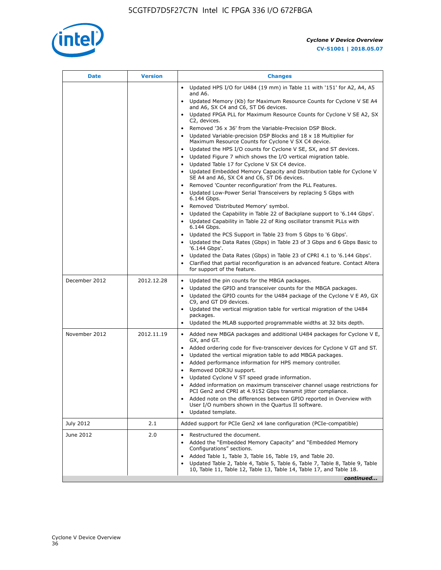

| <b>Date</b>   | <b>Version</b> | <b>Changes</b>                                                                                                                                                                                                                                                                                                                                                                                                                                                                                                                                             |
|---------------|----------------|------------------------------------------------------------------------------------------------------------------------------------------------------------------------------------------------------------------------------------------------------------------------------------------------------------------------------------------------------------------------------------------------------------------------------------------------------------------------------------------------------------------------------------------------------------|
|               |                | Updated HPS I/O for U484 (19 mm) in Table 11 with '151' for A2, A4, A5<br>and A6.                                                                                                                                                                                                                                                                                                                                                                                                                                                                          |
|               |                | • Updated Memory (Kb) for Maximum Resource Counts for Cyclone V SE A4<br>and A6, SX C4 and C6, ST D6 devices.                                                                                                                                                                                                                                                                                                                                                                                                                                              |
|               |                | Updated FPGA PLL for Maximum Resource Counts for Cyclone V SE A2, SX<br>C2, devices.                                                                                                                                                                                                                                                                                                                                                                                                                                                                       |
|               |                | Removed '36 x 36' from the Variable-Precision DSP Block.<br>$\bullet$<br>Updated Variable-precision DSP Blocks and $18 \times 18$ Multiplier for<br>Maximum Resource Counts for Cyclone V SX C4 device.                                                                                                                                                                                                                                                                                                                                                    |
|               |                | Updated the HPS I/O counts for Cyclone V SE, SX, and ST devices.<br>$\bullet$<br>Updated Figure 7 which shows the I/O vertical migration table.<br>Updated Table 17 for Cyclone V SX C4 device.<br>$\bullet$                                                                                                                                                                                                                                                                                                                                               |
|               |                | • Updated Embedded Memory Capacity and Distribution table for Cyclone V<br>SE A4 and A6, SX C4 and C6, ST D6 devices.<br>Removed 'Counter reconfiguration' from the PLL Features.                                                                                                                                                                                                                                                                                                                                                                          |
|               |                | Updated Low-Power Serial Transceivers by replacing 5 Gbps with<br>6.144 Gbps.                                                                                                                                                                                                                                                                                                                                                                                                                                                                              |
|               |                | Removed 'Distributed Memory' symbol.<br>Updated the Capability in Table 22 of Backplane support to '6.144 Gbps'.<br>Updated Capability in Table 22 of Ring oscillator transmit PLLs with<br>$\bullet$<br>6.144 Gbps.<br>Updated the PCS Support in Table 23 from 5 Gbps to '6 Gbps'.<br>Updated the Data Rates (Gbps) in Table 23 of 3 Gbps and 6 Gbps Basic to<br>$\bullet$                                                                                                                                                                               |
|               |                | '6.144 Gbps'.<br>Updated the Data Rates (Gbps) in Table 23 of CPRI 4.1 to '6.144 Gbps'.<br>Clarified that partial reconfiguration is an advanced feature. Contact Altera<br>for support of the feature.                                                                                                                                                                                                                                                                                                                                                    |
| December 2012 | 2012.12.28     | Updated the pin counts for the MBGA packages.<br>$\bullet$<br>Updated the GPIO and transceiver counts for the MBGA packages.<br>$\bullet$<br>Updated the GPIO counts for the U484 package of the Cyclone V E A9, GX<br>C9, and GT D9 devices.<br>Updated the vertical migration table for vertical migration of the U484<br>packages.                                                                                                                                                                                                                      |
|               |                | Updated the MLAB supported programmable widths at 32 bits depth.                                                                                                                                                                                                                                                                                                                                                                                                                                                                                           |
| November 2012 | 2012.11.19     | • Added new MBGA packages and additional U484 packages for Cyclone V E,<br>GX, and GT.<br>Added ordering code for five-transceiver devices for Cyclone V GT and ST.<br>Updated the vertical migration table to add MBGA packages.<br>$\bullet$<br>Added performance information for HPS memory controller.<br>$\bullet$<br>Removed DDR3U support.<br>$\bullet$<br>Updated Cyclone V ST speed grade information.<br>Added information on maximum transceiver channel usage restrictions for<br>PCI Gen2 and CPRI at 4.9152 Gbps transmit jitter compliance. |
|               |                | Added note on the differences between GPIO reported in Overview with<br>User I/O numbers shown in the Quartus II software.<br>Updated template.                                                                                                                                                                                                                                                                                                                                                                                                            |
| July 2012     | 2.1            | Added support for PCIe Gen2 x4 lane configuration (PCIe-compatible)                                                                                                                                                                                                                                                                                                                                                                                                                                                                                        |
| June 2012     | 2.0            | Restructured the document.<br>Added the "Embedded Memory Capacity" and "Embedded Memory<br>Configurations" sections.<br>Added Table 1, Table 3, Table 16, Table 19, and Table 20.<br>Updated Table 2, Table 4, Table 5, Table 6, Table 7, Table 8, Table 9, Table<br>10, Table 11, Table 12, Table 13, Table 14, Table 17, and Table 18.                                                                                                                                                                                                                   |
|               |                | continued                                                                                                                                                                                                                                                                                                                                                                                                                                                                                                                                                  |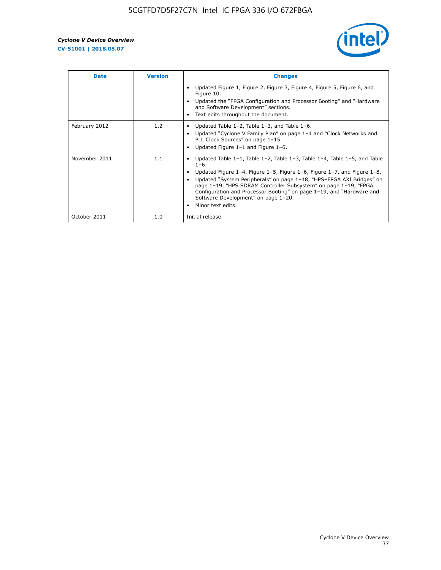

| <b>Date</b>   | <b>Version</b> | <b>Changes</b>                                                                                                                                                                                                                                                                                                                                                                                                                                                             |
|---------------|----------------|----------------------------------------------------------------------------------------------------------------------------------------------------------------------------------------------------------------------------------------------------------------------------------------------------------------------------------------------------------------------------------------------------------------------------------------------------------------------------|
|               |                | Updated Figure 1, Figure 2, Figure 3, Figure 4, Figure 5, Figure 6, and<br>Figure 10.<br>Updated the "FPGA Configuration and Processor Booting" and "Hardware"<br>and Software Development" sections.<br>Text edits throughout the document.                                                                                                                                                                                                                               |
| February 2012 | 1.2            | Updated Table $1-2$ , Table $1-3$ , and Table $1-6$ .<br>Updated "Cyclone V Family Plan" on page 1-4 and "Clock Networks and<br>PLL Clock Sources" on page 1-15.<br>Updated Figure $1-1$ and Figure $1-6$ .                                                                                                                                                                                                                                                                |
| November 2011 | 1.1            | Updated Table $1-1$ , Table $1-2$ , Table $1-3$ , Table $1-4$ , Table $1-5$ , and Table<br>$1 - 6.$<br>Updated Figure 1-4, Figure 1-5, Figure 1-6, Figure 1-7, and Figure 1-8.<br>Updated "System Peripherals" on page 1-18, "HPS-FPGA AXI Bridges" on<br>page 1-19, "HPS SDRAM Controller Subsystem" on page 1-19, "FPGA<br>Configuration and Processor Booting" on page 1-19, and "Hardware and<br>Software Development" on page 1-20.<br>Minor text edits.<br>$\bullet$ |
| October 2011  | 1.0            | Initial release.                                                                                                                                                                                                                                                                                                                                                                                                                                                           |